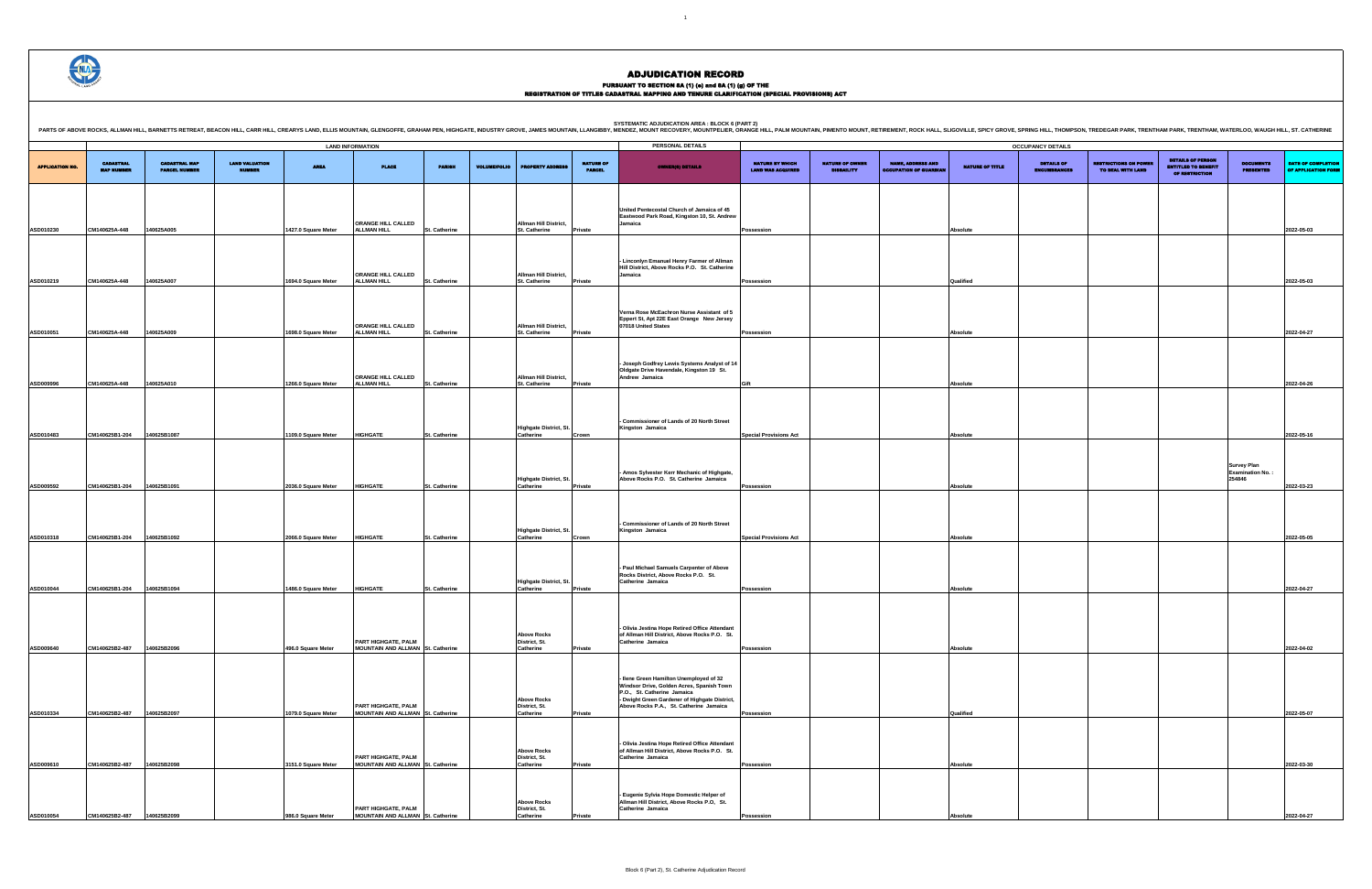## PURSUANT TO SECTION 8A (1) (0) and 8A (1) (g) OF THE<br>REGISTRATION OF TITLES CADASTRAL MAPPING AND TENURE CLARIFICATION (SPECIAL PROVISIONS) ACT

|                                             |                                             |                                                           |                        | <b>OCCUPANCY DETAILS</b>                 |                                                   |                                                                   |                                                         |                                           |
|---------------------------------------------|---------------------------------------------|-----------------------------------------------------------|------------------------|------------------------------------------|---------------------------------------------------|-------------------------------------------------------------------|---------------------------------------------------------|-------------------------------------------|
| NATURE BY WHICH<br><b>LAND WAS ACQUIRED</b> | <b>NATURE OF OWNER</b><br><b>DISBAILITY</b> | <b>NAME, ADDRESS AND</b><br><b>OCCUPATION OF GUARDIAN</b> | <b>NATURE OF TITLE</b> | <b>DETAILS OF</b><br><b>ENCUMBRANCES</b> | <b>RESTRICTIONS ON POWER</b><br>TO DEAL WITH LAND | <b>DETAILS OF PERSON</b><br>ENTITLED TO BENEFIT<br>OF RESTRICTION | <b>DOCUMENTS</b><br><b>PRESENTED</b>                    | DATE OF COMPLETION<br>OF APPLICATION FORM |
|                                             |                                             |                                                           |                        |                                          |                                                   |                                                                   |                                                         |                                           |
|                                             |                                             |                                                           |                        |                                          |                                                   |                                                                   |                                                         |                                           |
| Possession                                  |                                             |                                                           | Absolute               |                                          |                                                   |                                                                   |                                                         | 2022-05-03                                |
|                                             |                                             |                                                           |                        |                                          |                                                   |                                                                   |                                                         |                                           |
| Possession                                  |                                             |                                                           | Qualified              |                                          |                                                   |                                                                   |                                                         | 2022-05-03                                |
|                                             |                                             |                                                           |                        |                                          |                                                   |                                                                   |                                                         |                                           |
|                                             |                                             |                                                           |                        |                                          |                                                   |                                                                   |                                                         |                                           |
| Possession                                  |                                             |                                                           | Absolute               |                                          |                                                   |                                                                   |                                                         | 2022-04-27                                |
|                                             |                                             |                                                           |                        |                                          |                                                   |                                                                   |                                                         |                                           |
|                                             |                                             |                                                           |                        |                                          |                                                   |                                                                   |                                                         |                                           |
| Gift                                        |                                             |                                                           | Absolute               |                                          |                                                   |                                                                   |                                                         | 2022-04-26                                |
|                                             |                                             |                                                           |                        |                                          |                                                   |                                                                   |                                                         |                                           |
| <b>Special Provisions Act</b>               |                                             |                                                           | Absolute               |                                          |                                                   |                                                                   |                                                         | 2022-05-16                                |
|                                             |                                             |                                                           |                        |                                          |                                                   |                                                                   |                                                         |                                           |
|                                             |                                             |                                                           |                        |                                          |                                                   |                                                                   | <b>Survey Plan</b><br><b>Examination No.:</b><br>254846 |                                           |
| Possession                                  |                                             |                                                           | Absolute               |                                          |                                                   |                                                                   |                                                         | 2022-03-23                                |
|                                             |                                             |                                                           |                        |                                          |                                                   |                                                                   |                                                         |                                           |
| <b>Special Provisions Act</b>               |                                             |                                                           | Absolute               |                                          |                                                   |                                                                   |                                                         | 2022-05-05                                |
|                                             |                                             |                                                           |                        |                                          |                                                   |                                                                   |                                                         |                                           |
|                                             |                                             |                                                           |                        |                                          |                                                   |                                                                   |                                                         |                                           |
| Possession                                  |                                             |                                                           | Absolute               |                                          |                                                   |                                                                   |                                                         | 2022-04-27                                |
|                                             |                                             |                                                           |                        |                                          |                                                   |                                                                   |                                                         |                                           |
|                                             |                                             |                                                           |                        |                                          |                                                   |                                                                   |                                                         |                                           |
| Possession                                  |                                             |                                                           | Absolute               |                                          |                                                   |                                                                   |                                                         | 2022-04-02                                |
|                                             |                                             |                                                           |                        |                                          |                                                   |                                                                   |                                                         |                                           |
|                                             |                                             |                                                           |                        |                                          |                                                   |                                                                   |                                                         |                                           |
| Possession                                  |                                             |                                                           | Qualified              |                                          |                                                   |                                                                   |                                                         | 2022-05-07                                |
|                                             |                                             |                                                           |                        |                                          |                                                   |                                                                   |                                                         |                                           |
|                                             |                                             |                                                           |                        |                                          |                                                   |                                                                   |                                                         |                                           |
| Possession                                  |                                             |                                                           | Absolute               |                                          |                                                   |                                                                   |                                                         | 2022-03-30                                |
|                                             |                                             |                                                           |                        |                                          |                                                   |                                                                   |                                                         |                                           |
| Possession                                  |                                             |                                                           | Absolute               |                                          |                                                   |                                                                   |                                                         | 2022-04-27                                |

SYSTEMATIC ADJUDICATION AREA : BLOCK 6 (PART 2)<br>PARTS OF ABOVE ROCKS, ALLMAN HILL, BARNETTS RETREAT, BEACON HILL, CARR HILL, CREARYS LAND, ELLIS MOUNTAIN, GLE<br>PARTS OF ABOVE ROCKS, ALLMAN HILL, BARNETTS RETREAT, BEACON HIL

|                        |                                       |                                              |                                        |                     |                                                          |               |                     |                                                  |                                   | PERSONAL DETAILS                                                                                                     |                                                    |                                             |                                                           |                        |                                                              |
|------------------------|---------------------------------------|----------------------------------------------|----------------------------------------|---------------------|----------------------------------------------------------|---------------|---------------------|--------------------------------------------------|-----------------------------------|----------------------------------------------------------------------------------------------------------------------|----------------------------------------------------|---------------------------------------------|-----------------------------------------------------------|------------------------|--------------------------------------------------------------|
| <b>APPLICATION NO.</b> | <b>CADASTRAL</b><br><b>MAP NUMBER</b> | <b>CADASTRAL MAP</b><br><b>PARCEL NUMBER</b> | <b>LAND VALUATION</b><br><b>NUMBER</b> | <b>AREA</b>         | <b>LAND INFORMATION</b><br><b>PLACE</b>                  | <b>PARISH</b> | <b>VOLUME/FOLIO</b> | <b>PROPERTY ADDRES</b>                           | <b>NATURE OF</b><br><b>PARCEL</b> | OWNER(8) DETAILS                                                                                                     | <b>NATURE BY WHICH</b><br><b>LAND WAS ACQUIRED</b> | <b>NATURE OF OWNER</b><br><b>DISBAILITY</b> | <b>NAME, ADDRESS AND</b><br><b>OCCUPATION OF GUARDIAN</b> | <b>NATURE OF TITLE</b> | <b>OCCUPANCY DETAILS</b><br><b>DETAILS OF</b><br>ENCUMBRANCE |
| ASD010230              | CM140625A-448                         | 140625A005                                   |                                        | 1427.0 Square Meter | ORANGE HILL CALLED<br><b>ALLMAN HILL</b>                 | St. Catherine |                     | Allman Hill District,<br>St. Catherine           | Private                           | United Pentecostal Church of Jamaica of 45<br>Eastwood Park Road, Kingston 10, St. Andrew<br>Jamaica                 | Possession                                         |                                             |                                                           | Absolute               |                                                              |
|                        |                                       |                                              |                                        |                     | ORANGE HILL CALLED                                       |               |                     | Allman Hill District,                            |                                   | - Linconlyn Emanuel Henry Farmer of Allman<br>Hill District, Above Rocks P.O. St. Catherine<br>Jamaica               |                                                    |                                             |                                                           |                        |                                                              |
| ASD010219              | CM140625A-448                         | 140625A007                                   |                                        | 1694.0 Square Meter | <b>ALLMAN HILL</b>                                       | St. Catherine |                     | St. Catherine                                    | Private                           | Verna Rose McEachron Nurse Assistant of 5<br>Eppert St, Apt 22E East Orange New Jersey                               | Possession                                         |                                             |                                                           | Qualified              |                                                              |
| ASD010051              | CM140625A-448                         | 140625A009                                   |                                        | 1698.0 Square Meter | ORANGE HILL CALLED<br><b>ALLMAN HILL</b>                 | St. Catherine |                     | Allman Hill District,<br><b>St. Catherine</b>    | Private                           | 07018 United States                                                                                                  | Possession                                         |                                             |                                                           | Absolute               |                                                              |
| ASD009996              | CM140625A-448                         | 140625A010                                   |                                        | 1266.0 Square Meter | ORANGE HILL CALLED<br><b>ALLMAN HILL</b>                 | St. Catherine |                     | Allman Hill District,<br>St. Catherine           | Private                           | - Joseph Godfrey Lewis Systems Analyst of 14<br>Oldgate Drive Havendale, Kingston 19 St.<br>Andrew Jamaica           | Gift                                               |                                             |                                                           | Absolute               |                                                              |
| ASD010483              | CM140625B1-204                        | 140625B1087                                  |                                        | 1109.0 Square Meter | <b>HIGHGATE</b>                                          | St. Catherine |                     | Highgate District, St.<br>Catherine              | Crown                             | - Commissioner of Lands of 20 North Street<br>Kingston Jamaica                                                       | <b>Special Provisions Act</b>                      |                                             |                                                           | Absolute               |                                                              |
|                        |                                       |                                              |                                        |                     |                                                          |               |                     |                                                  |                                   | Amos Sylvester Kerr Mechanic of Highgate,                                                                            |                                                    |                                             |                                                           |                        |                                                              |
| ASD009592              | CM140625B1-204                        | 140625B1091                                  |                                        | 2036.0 Square Meter | <b>HIGHGATE</b>                                          | St. Catherine |                     | Highgate District, St.<br>Catherine              | Private                           | Above Rocks P.O. St. Catherine Jamaica                                                                               | Possession                                         |                                             |                                                           | Absolute               |                                                              |
| ASD010318              | CM140625B1-204                        | 140625B1092                                  |                                        | 2066.0 Square Meter | <b>HIGHGATE</b>                                          | St. Catherine |                     | Highgate District, St.<br>Catherine              | Crown                             | - Commissioner of Lands of 20 North Street<br>Kingston Jamaica                                                       | <b>Special Provisions Act</b>                      |                                             |                                                           | Absolute               |                                                              |
| ASD010044              | CM140625B1-204                        | 140625B1094                                  |                                        | 1486.0 Square Meter | <b>HIGHGATE</b>                                          | St. Catherine |                     | <b>Highgate District, St.</b><br>Catherine       | Private                           | - Paul Michael Samuels Carpenter of Above<br>Rocks District, Above Rocks P.O. St.<br>Catherine Jamaica               | Possession                                         |                                             |                                                           | Absolute               |                                                              |
|                        |                                       |                                              |                                        |                     | PART HIGHGATE, PALM                                      |               |                     | <b>Above Rocks</b><br>District, St.              |                                   | - Olivia Jestina Hope Retired Office Attendant<br>of Allman Hill District, Above Rocks P.O. St.<br>Catherine Jamaica |                                                    |                                             |                                                           |                        |                                                              |
| ASD009640              | CM140625B2-487                        | 140625B2096                                  |                                        | 496.0 Square Meter  | MOUNTAIN AND ALLMAN St. Catherine                        |               |                     | Catherine                                        | Private                           | - Ilene Green Hamilton Unemployed of 32<br>Windsor Drive, Golden Acres, Spanish Town<br>P.O., St. Catherine Jamaica  | Possession                                         |                                             |                                                           | Absolute               |                                                              |
| ASD010334              | CM140625B2-487                        | 140625B2097                                  |                                        | 1079.0 Square Meter | PART HIGHGATE, PALM<br>MOUNTAIN AND ALLMAN St. Catherine |               |                     | <b>Above Rocks</b><br>District, St.<br>Catherine | Private                           | - Dwight Green Gardener of Highgate District,<br>Above Rocks P.A., St. Catherine Jamaica                             | Possession                                         |                                             |                                                           | Qualified              |                                                              |
| ASD009610              | CM140625B2-487                        | 140625B2098                                  |                                        | 3151.0 Square Meter | PART HIGHGATE, PALM<br>MOUNTAIN AND ALLMAN St. Catherine |               |                     | <b>Above Rocks</b><br>District, St.<br>Catherine | Private                           | - Olivia Jestina Hope Retired Office Attendant<br>of Allman Hill District, Above Rocks P.O. St.<br>Catherine Jamaica | Possession                                         |                                             |                                                           | Absolute               |                                                              |
|                        |                                       |                                              |                                        |                     | PART HIGHGATE, PALM                                      |               |                     | <b>Above Rocks</b><br>District, St.              |                                   | - Eugenie Sylvia Hope Domestic Helper of<br>Allman Hill District, Above Rocks P.O, St.<br>Catherine Jamaica          |                                                    |                                             |                                                           |                        |                                                              |
| ASD010054              | CM140625B2-487                        | 140625B2099                                  |                                        | 986.0 Square Meter  | MOUNTAIN AND ALLMAN St. Catherine                        |               |                     | Catherine                                        | Private                           |                                                                                                                      | Possession                                         |                                             |                                                           | <b>Absolute</b>        |                                                              |

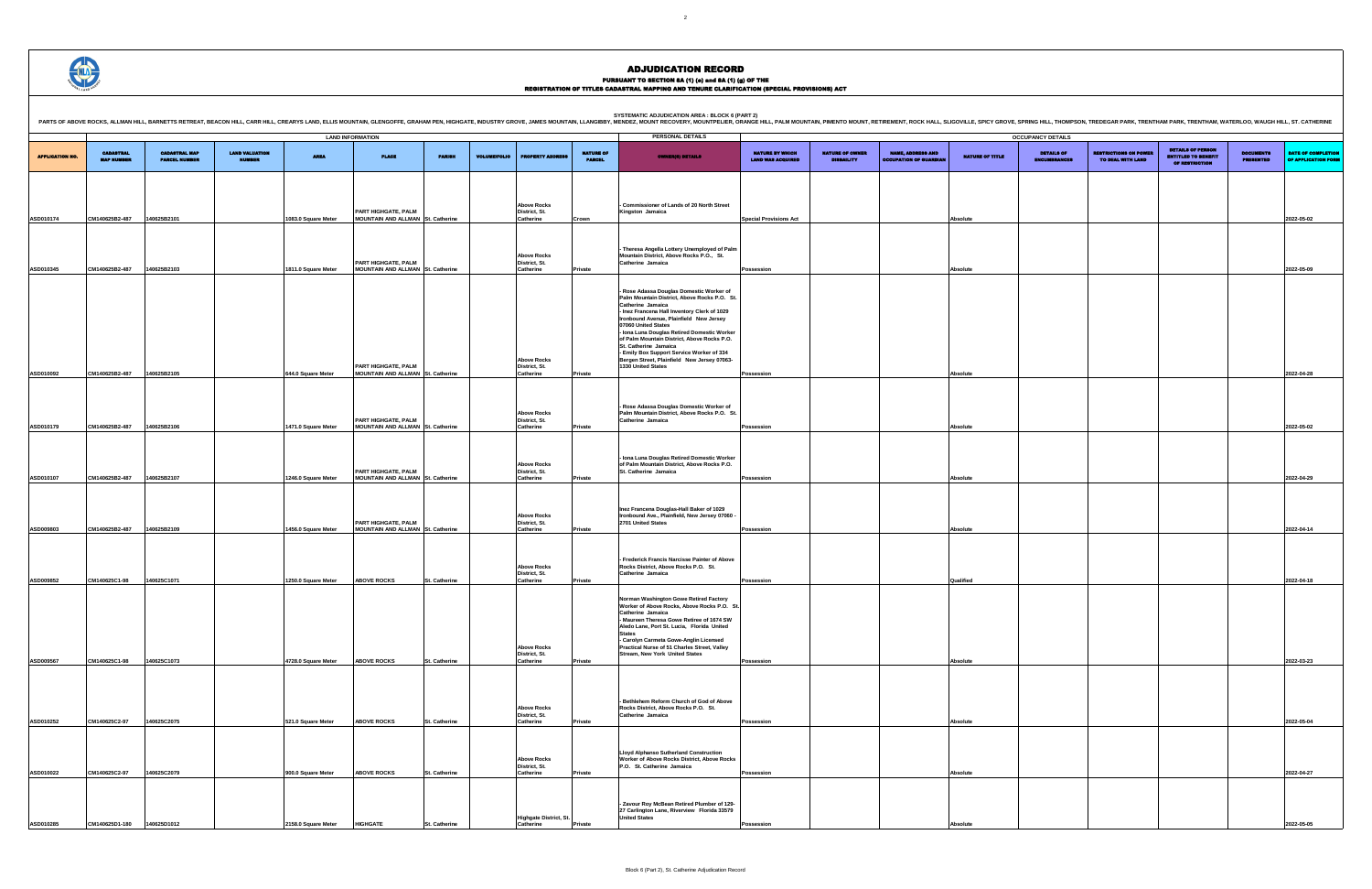PURSUANT TO SECTION 8A (1) (0) and 8A (1) (g) OF THE<br>REGISTRATION OF TITLES CADASTRAL MAPPING AND TENURE CLARIFICATION (SPECIAL PROVISIONS) ACT

|                        | <b>SYSTEMATIC ADJUDICATION AREA : BLOCK 6 (PART 2)</b><br>PARTS OF ABOVE ROCKS, ALLMAN HILL, BARNETTS RETREAT, BEACON HILL, CARR HILL, CARR HILL, CARR HILL, CARR HILL, CARR HILL, CARR HILL, CARRYS LAND, ELLIS MOUNTAIN, GLENGOFFE, GRAHAM PEN, HIGHGATE, INDUSTRY GROVE, JAMES MOUNTA<br>PERSONAL DETAILS<br><b>LAND INFORMATION</b><br><b>OCCUPANCY DETAILS</b><br><b>DETAILS OF PERSON</b><br><b>LAND VALUATION</b><br><b>CADASTRAL MAP</b><br><b>NATURE OF OWNER</b><br><b>NAME, ADDRESS AND</b><br><b>RESTRICTIONS ON POWER</b><br><b>CADASTRAL</b><br><b>NATURE OF</b><br><b>NATURE BY WHICH</b><br>DETAILS OF<br><b>DOCUMENTS</b><br><b>PLACE</b><br>NATURE OF TITLE<br><b>ENTITLED TO BENEFIT</b><br><b>AREA</b><br><b>PARISH</b><br><b>VOLUME/FOLIO</b><br><b>PROPERTY ADDRE</b><br><b>OWNER(8) DETAILS</b><br><b>PARCEL NUMBER</b><br><b>PARCEL</b><br><b>LAND WAS ACQUIRED</b><br><b>DISBAILITY</b><br><b>OCCUPATION OF GUARDIA</b><br>TO DEAL WITH LAND<br><b>MAP NUMBER</b><br><b>MUMBER</b><br>ENCUMBRANCES<br><b>PRESENTED</b><br><b>OF RESTRICTION</b> |             |  |                     |                                                                 |               |  |                                                  |         |                                                                                                                                                                                                                                                                                                                                                                                                                                                                       |                               |  |  |                 |  |  |                                           |
|------------------------|--------------------------------------------------------------------------------------------------------------------------------------------------------------------------------------------------------------------------------------------------------------------------------------------------------------------------------------------------------------------------------------------------------------------------------------------------------------------------------------------------------------------------------------------------------------------------------------------------------------------------------------------------------------------------------------------------------------------------------------------------------------------------------------------------------------------------------------------------------------------------------------------------------------------------------------------------------------------------------------------------------------------------------------------------------------------------|-------------|--|---------------------|-----------------------------------------------------------------|---------------|--|--------------------------------------------------|---------|-----------------------------------------------------------------------------------------------------------------------------------------------------------------------------------------------------------------------------------------------------------------------------------------------------------------------------------------------------------------------------------------------------------------------------------------------------------------------|-------------------------------|--|--|-----------------|--|--|-------------------------------------------|
|                        |                                                                                                                                                                                                                                                                                                                                                                                                                                                                                                                                                                                                                                                                                                                                                                                                                                                                                                                                                                                                                                                                          |             |  |                     |                                                                 |               |  |                                                  |         |                                                                                                                                                                                                                                                                                                                                                                                                                                                                       |                               |  |  |                 |  |  |                                           |
| <b>APPLICATION NO.</b> |                                                                                                                                                                                                                                                                                                                                                                                                                                                                                                                                                                                                                                                                                                                                                                                                                                                                                                                                                                                                                                                                          |             |  |                     |                                                                 |               |  |                                                  |         |                                                                                                                                                                                                                                                                                                                                                                                                                                                                       |                               |  |  |                 |  |  | DATE OF COMPLETION<br>OF APPLICATION FORM |
| <b>ASD010174</b>       | CM140625B2-487                                                                                                                                                                                                                                                                                                                                                                                                                                                                                                                                                                                                                                                                                                                                                                                                                                                                                                                                                                                                                                                           | 140625B2101 |  | 1083.0 Square Meter | PART HIGHGATE, PALM<br>MOUNTAIN AND ALLMAN St. Catherine        |               |  | <b>Above Rocks</b><br>District, St.<br>Catherine | Crown   | Commissioner of Lands of 20 North Street<br>Kingston Jamaica                                                                                                                                                                                                                                                                                                                                                                                                          | <b>Special Provisions Act</b> |  |  | Absolute        |  |  | 2022-05-02                                |
|                        |                                                                                                                                                                                                                                                                                                                                                                                                                                                                                                                                                                                                                                                                                                                                                                                                                                                                                                                                                                                                                                                                          |             |  |                     | PART HIGHGATE, PALM                                             |               |  | <b>Above Rocks</b><br>District, St.              |         | Theresa Angella Lottery Unemployed of Palm<br>Mountain District, Above Rocks P.O., St.<br>Catherine Jamaica                                                                                                                                                                                                                                                                                                                                                           |                               |  |  |                 |  |  |                                           |
| <b>ASD010345</b>       | CM140625B2-487                                                                                                                                                                                                                                                                                                                                                                                                                                                                                                                                                                                                                                                                                                                                                                                                                                                                                                                                                                                                                                                           | 140625B2103 |  | 1811.0 Square Meter | MOUNTAIN AND ALLMAN St. Catherine<br>PART HIGHGATE, PALM        |               |  | Catherine<br><b>Above Rocks</b><br>District, St. | Private | - Rose Adassa Douglas Domestic Worker of<br>Palm Mountain District, Above Rocks P.O. St<br>Catherine Jamaica<br>Inez Francena Hall Inventory Clerk of 1029<br>Ironbound Avenue, Plainfield New Jersey<br>07060 United States<br>- Iona Luna Douglas Retired Domestic Worker<br>of Palm Mountain District, Above Rocks P.O.<br>St. Catherine Jamaica<br>- Emily Box Support Service Worker of 334<br>Bergen Street, Plainfield New Jersey 07063-<br>1330 United States | Possession                    |  |  | Absolute        |  |  | 2022-05-09                                |
| ASD010092              | CM140625B2-487                                                                                                                                                                                                                                                                                                                                                                                                                                                                                                                                                                                                                                                                                                                                                                                                                                                                                                                                                                                                                                                           | 140625B2105 |  | 644.0 Square Meter  | MOUNTAIN AND ALLMAN St. Catherine                               |               |  | Catherine                                        | Private |                                                                                                                                                                                                                                                                                                                                                                                                                                                                       | Possession                    |  |  | <b>Absolute</b> |  |  | 2022-04-28                                |
| ASD010179              | CM140625B2-487                                                                                                                                                                                                                                                                                                                                                                                                                                                                                                                                                                                                                                                                                                                                                                                                                                                                                                                                                                                                                                                           | 140625B2106 |  | 1471.0 Square Meter | PART HIGHGATE, PALM<br><b>MOUNTAIN AND ALLMAN St. Catherine</b> |               |  | <b>Above Rocks</b><br>District, St.<br>Catherine | Private | Rose Adassa Douglas Domestic Worker of<br>Palm Mountain District, Above Rocks P.O. St.<br>Catherine Jamaica                                                                                                                                                                                                                                                                                                                                                           | Possession                    |  |  | Absolute        |  |  | 2022-05-02                                |
|                        |                                                                                                                                                                                                                                                                                                                                                                                                                                                                                                                                                                                                                                                                                                                                                                                                                                                                                                                                                                                                                                                                          |             |  |                     | PART HIGHGATE, PALM                                             |               |  | <b>Above Rocks</b><br>District, St.              |         | - Iona Luna Douglas Retired Domestic Worker<br>of Palm Mountain District, Above Rocks P.O.<br>St. Catherine Jamaica                                                                                                                                                                                                                                                                                                                                                   |                               |  |  |                 |  |  |                                           |
| <b>ASD010107</b>       | CM140625B2-487                                                                                                                                                                                                                                                                                                                                                                                                                                                                                                                                                                                                                                                                                                                                                                                                                                                                                                                                                                                                                                                           | 140625B2107 |  | 1246.0 Square Meter | MOUNTAIN AND ALLMAN St. Catherine                               |               |  | Catherine                                        | Private |                                                                                                                                                                                                                                                                                                                                                                                                                                                                       | Possession                    |  |  | Absolute        |  |  | 2022-04-29                                |
| ASD009803              | CM140625B2-487                                                                                                                                                                                                                                                                                                                                                                                                                                                                                                                                                                                                                                                                                                                                                                                                                                                                                                                                                                                                                                                           | 140625B2109 |  | 1456.0 Square Meter | PART HIGHGATE, PALM<br><b>MOUNTAIN AND ALLMAN St. Catherine</b> |               |  | <b>Above Rocks</b><br>District, St.<br>Catherine | Private | Inez Francena Douglas-Hall Baker of 1029<br>Ironbound Ave., Plainfield, New Jersey 07060 -<br>2701 United States                                                                                                                                                                                                                                                                                                                                                      | <b>Possession</b>             |  |  | <b>Absolute</b> |  |  | 2022-04-14                                |
| ASD009852              | CM140625C1-98                                                                                                                                                                                                                                                                                                                                                                                                                                                                                                                                                                                                                                                                                                                                                                                                                                                                                                                                                                                                                                                            | 140625C1071 |  | 1250.0 Square Meter | <b>ABOVE ROCKS</b>                                              | St. Catherine |  | <b>Above Rocks</b><br>District, St.<br>Catherine | Private | Frederick Francis Narcisse Painter of Above<br>Rocks District, Above Rocks P.O. St.<br>Catherine Jamaica                                                                                                                                                                                                                                                                                                                                                              | Possession                    |  |  | Qualified       |  |  | 2022-04-18                                |
| ASD009567              | CM140625C1-98                                                                                                                                                                                                                                                                                                                                                                                                                                                                                                                                                                                                                                                                                                                                                                                                                                                                                                                                                                                                                                                            | 140625C1073 |  | 4728.0 Square Meter | <b>ABOVE ROCKS</b>                                              | St. Catherine |  | <b>Above Rocks</b><br>District, St.<br>Catherine | Private | Norman Washington Gowe Retired Factory<br>Worker of Above Rocks, Above Rocks P.O. St.<br>Catherine Jamaica<br>Maureen Theresa Gowe Retiree of 1674 SW<br>Aledo Lane, Port St. Lucia, Florida United<br><b>States</b><br>- Carolyn Carmeta Gowe-Anglin Licensed<br>Practical Nurse of 51 Charles Street, Valley<br>Stream, New York United States                                                                                                                      | Possession                    |  |  | Absolute        |  |  | 2022-03-23                                |
|                        |                                                                                                                                                                                                                                                                                                                                                                                                                                                                                                                                                                                                                                                                                                                                                                                                                                                                                                                                                                                                                                                                          |             |  |                     |                                                                 |               |  | <b>Above Rocks</b><br>District, St.              |         | - Bethlehem Reform Church of God of Above<br>Rocks District, Above Rocks P.O. St.<br>Catherine Jamaica                                                                                                                                                                                                                                                                                                                                                                |                               |  |  |                 |  |  |                                           |
| ASD010252              | CM140625C2-97                                                                                                                                                                                                                                                                                                                                                                                                                                                                                                                                                                                                                                                                                                                                                                                                                                                                                                                                                                                                                                                            | 140625C2075 |  | 521.0 Square Meter  | <b>ABOVE ROCKS</b>                                              | St. Catherine |  | Catherine<br><b>Above Rocks</b><br>District, St. | Private | <b>Lloyd Alphanso Sutherland Construction</b><br>Worker of Above Rocks District, Above Rocks<br>P.O. St. Catherine Jamaica                                                                                                                                                                                                                                                                                                                                            | Possession                    |  |  | Absolute        |  |  | 2022-05-04                                |
| ASD010022              | CM140625C2-97                                                                                                                                                                                                                                                                                                                                                                                                                                                                                                                                                                                                                                                                                                                                                                                                                                                                                                                                                                                                                                                            | 140625C2079 |  | 900.0 Square Meter  | <b>ABOVE ROCKS</b>                                              | St. Catherine |  | Catherine                                        | Private | - Zavour Roy McBean Retired Plumber of 129-<br>27 Carlington Lane, Riverview Florida 33579<br><b>United States</b>                                                                                                                                                                                                                                                                                                                                                    | Possession                    |  |  | Absolute        |  |  | 2022-04-27                                |
| ASD010285              | CM140625D1-180 140625D1012                                                                                                                                                                                                                                                                                                                                                                                                                                                                                                                                                                                                                                                                                                                                                                                                                                                                                                                                                                                                                                               |             |  | 2158.0 Square Meter | <b>HIGHGATE</b>                                                 | St. Catherine |  | Highgate District, St.<br>Catherine              | Private |                                                                                                                                                                                                                                                                                                                                                                                                                                                                       | Possession                    |  |  | Absolute        |  |  | 2022-05-05                                |

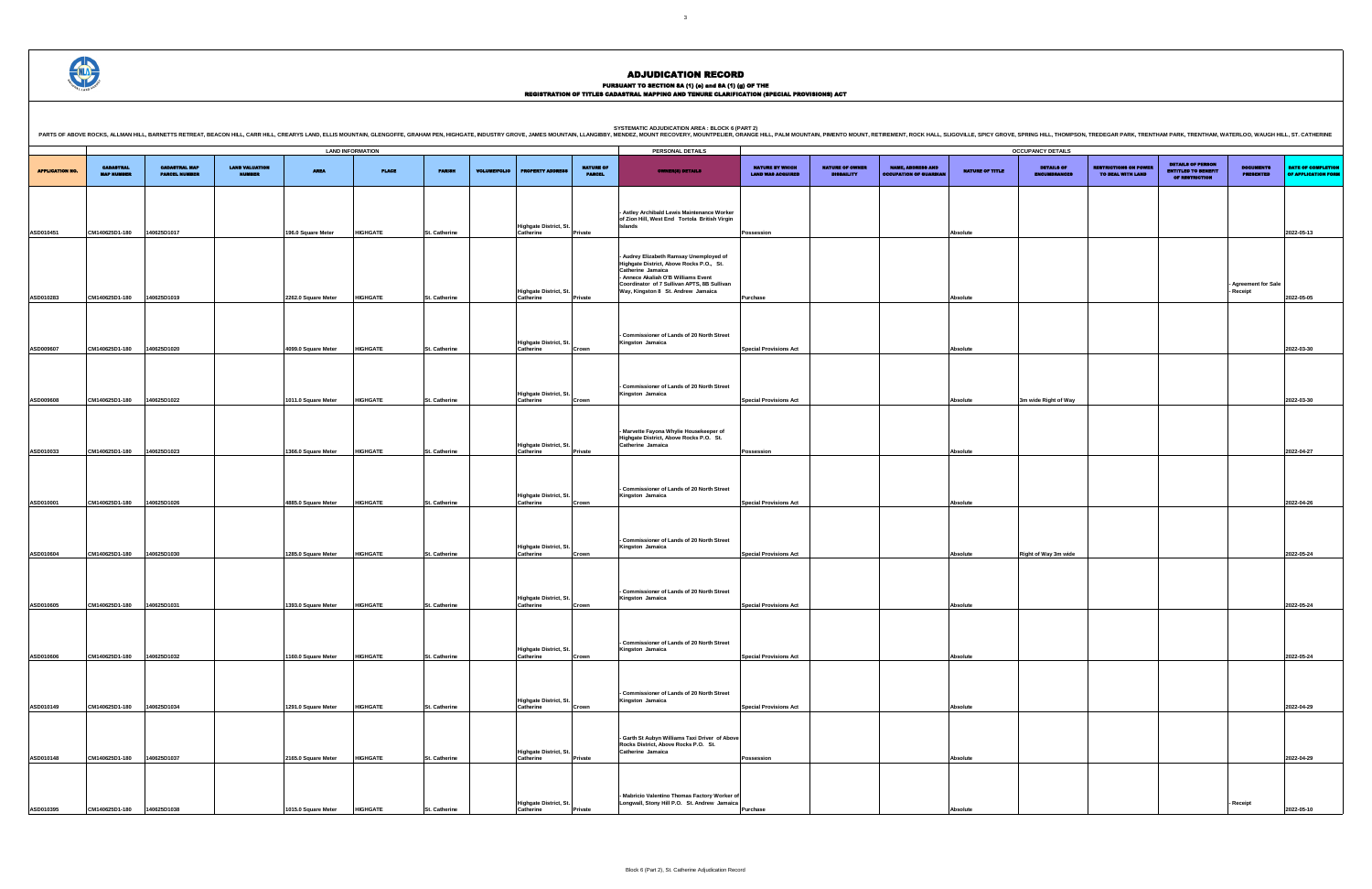## PURSUANT TO SECTION 8A (1) (e) and 8A (1) (g) OF THE<br>REGISTRATION OF TITLES CADASTRAL MAPPING AND TENURE CLARIFICATION (SPECIAL PROVISIONS) ACT

|                                             |                                             |                                                           |                        | <b>OCCUPANCY DETAILS</b>                 |                                                   |                                                                          |                                      |                                                  |
|---------------------------------------------|---------------------------------------------|-----------------------------------------------------------|------------------------|------------------------------------------|---------------------------------------------------|--------------------------------------------------------------------------|--------------------------------------|--------------------------------------------------|
| NATURE BY WHICH<br><b>LAND WAS ACQUIRED</b> | <b>NATURE OF OWNER</b><br><b>DISBAILITY</b> | <b>NAME, ADDRESS AND</b><br><b>OCCUPATION OF GUARDIAN</b> | <b>NATURE OF TITLE</b> | <b>DETAILS OF</b><br><b>ENCUMBRANCES</b> | <b>RESTRICTIONS ON POWER</b><br>TO DEAL WITH LAND | <b>DETAILS OF PERSON</b><br><b>ENTITLED TO BENEFIT</b><br>OF RESTRICTION | <b>DOCUMENTS</b><br><b>PRESENTED</b> | <b>DATE OF COMPLETION</b><br>OF APPLICATION FORM |
|                                             |                                             |                                                           |                        |                                          |                                                   |                                                                          |                                      |                                                  |
|                                             |                                             |                                                           |                        |                                          |                                                   |                                                                          |                                      |                                                  |
| Possession                                  |                                             |                                                           | Absolute               |                                          |                                                   |                                                                          |                                      | 2022-05-13                                       |
|                                             |                                             |                                                           |                        |                                          |                                                   |                                                                          |                                      |                                                  |
|                                             |                                             |                                                           |                        |                                          |                                                   |                                                                          |                                      |                                                  |
|                                             |                                             |                                                           |                        |                                          |                                                   |                                                                          |                                      |                                                  |
|                                             |                                             |                                                           |                        |                                          |                                                   |                                                                          | <b>Agreement for Sale</b><br>Receipt |                                                  |
| Purchase                                    |                                             |                                                           | Absolute               |                                          |                                                   |                                                                          |                                      | 2022-05-05                                       |
|                                             |                                             |                                                           |                        |                                          |                                                   |                                                                          |                                      |                                                  |
|                                             |                                             |                                                           |                        |                                          |                                                   |                                                                          |                                      |                                                  |
| <b>Special Provisions Act</b>               |                                             |                                                           | Absolute               |                                          |                                                   |                                                                          |                                      | 2022-03-30                                       |
|                                             |                                             |                                                           |                        |                                          |                                                   |                                                                          |                                      |                                                  |
|                                             |                                             |                                                           |                        |                                          |                                                   |                                                                          |                                      |                                                  |
|                                             |                                             |                                                           |                        |                                          |                                                   |                                                                          |                                      |                                                  |
| <b>Special Provisions Act</b>               |                                             |                                                           | Absolute               | 3m wide Right of Way                     |                                                   |                                                                          |                                      | 2022-03-30                                       |
|                                             |                                             |                                                           |                        |                                          |                                                   |                                                                          |                                      |                                                  |
|                                             |                                             |                                                           |                        |                                          |                                                   |                                                                          |                                      |                                                  |
|                                             |                                             |                                                           |                        |                                          |                                                   |                                                                          |                                      |                                                  |
| Possession                                  |                                             |                                                           | Absolute               |                                          |                                                   |                                                                          |                                      | 2022-04-27                                       |
|                                             |                                             |                                                           |                        |                                          |                                                   |                                                                          |                                      |                                                  |
|                                             |                                             |                                                           |                        |                                          |                                                   |                                                                          |                                      |                                                  |
| <b>Special Provisions Act</b>               |                                             |                                                           | Absolute               |                                          |                                                   |                                                                          |                                      | 2022-04-26                                       |
|                                             |                                             |                                                           |                        |                                          |                                                   |                                                                          |                                      |                                                  |
|                                             |                                             |                                                           |                        |                                          |                                                   |                                                                          |                                      |                                                  |
|                                             |                                             |                                                           |                        |                                          |                                                   |                                                                          |                                      |                                                  |
| <b>Special Provisions Act</b>               |                                             |                                                           | Absolute               | Right of Way 3m wide                     |                                                   |                                                                          |                                      | 2022-05-24                                       |
|                                             |                                             |                                                           |                        |                                          |                                                   |                                                                          |                                      |                                                  |
|                                             |                                             |                                                           |                        |                                          |                                                   |                                                                          |                                      |                                                  |
|                                             |                                             |                                                           |                        |                                          |                                                   |                                                                          |                                      |                                                  |
| <b>Special Provisions Act</b>               |                                             |                                                           | Absolute               |                                          |                                                   |                                                                          |                                      | 2022-05-24                                       |
|                                             |                                             |                                                           |                        |                                          |                                                   |                                                                          |                                      |                                                  |
|                                             |                                             |                                                           |                        |                                          |                                                   |                                                                          |                                      |                                                  |
| <b>Special Provisions Act</b>               |                                             |                                                           | Absolute               |                                          |                                                   |                                                                          |                                      | 2022-05-24                                       |
|                                             |                                             |                                                           |                        |                                          |                                                   |                                                                          |                                      |                                                  |
|                                             |                                             |                                                           |                        |                                          |                                                   |                                                                          |                                      |                                                  |
|                                             |                                             |                                                           |                        |                                          |                                                   |                                                                          |                                      |                                                  |
| <b>Special Provisions Act</b>               |                                             |                                                           | Absolute               |                                          |                                                   |                                                                          |                                      | 2022-04-29                                       |
|                                             |                                             |                                                           |                        |                                          |                                                   |                                                                          |                                      |                                                  |
|                                             |                                             |                                                           |                        |                                          |                                                   |                                                                          |                                      |                                                  |
|                                             |                                             |                                                           |                        |                                          |                                                   |                                                                          |                                      |                                                  |
| Possession                                  |                                             |                                                           | Absolute               |                                          |                                                   |                                                                          |                                      | 2022-04-29                                       |
|                                             |                                             |                                                           |                        |                                          |                                                   |                                                                          |                                      |                                                  |
|                                             |                                             |                                                           |                        |                                          |                                                   |                                                                          |                                      |                                                  |
| Purchase                                    |                                             |                                                           | Absolute               |                                          |                                                   |                                                                          | Receipt                              | 2022-05-10                                       |
|                                             |                                             |                                                           |                        |                                          |                                                   |                                                                          |                                      |                                                  |

.<br>OVE, SPRING HILL, THOMPSON, TREDEGAR PARK, TRENTHAM PARK, TRENTHAM, WATERLOO, WAUGH HILL, ST. CATHERINE



| <b>LAND INFORMATION</b><br>PERSONAL DETAILS<br><b>CADASTRAL</b><br><b>CADASTRAL MAP</b><br><b>LAND VALUATION</b><br><b>NATURE OF</b><br>NATURE BY WHICH<br><b>NATURE OF OWNER</b><br><b>NAME, ADDRESS AND</b><br><b>AREA</b><br><b>NATURE OF TITLE</b><br><b>APPLICATION NO.</b><br><b>PLACE</b><br><b>PARISH</b><br><b>VOLUME/FOLIO</b><br><b>PROPERTY ADDRESS</b><br><b>OWNER(8) DETAILS</b><br><b>PARCEL NUMBER</b><br><b>OCCUPATION OF GUARDIAN</b><br><b>MAP NUMBER</b><br>NUMBER<br><b>PARCEL</b><br><b>LAND WAS ACQUIRED</b><br><b>DISBAILITY</b><br>- Astley Archibald Lewis Maintenance Worker<br>of Zion Hill, West End Tortola British Virgin<br><b>Highgate District, St.</b><br>Islands<br>CM140625D1-180<br>ASD010451<br>40625D1017<br>196.0 Square Meter<br>HIGHGATE<br>St. Catherine<br>Catherine<br>Private<br>Possession<br>Absolute<br>- Audrey Elizabeth Ramsay Unemployed of<br>Highgate District, Above Rocks P.O., St.<br>Catherine Jamaica<br>- Annece Akaliah O'B Williams Event<br>Coordinator of 7 Sullivan APTS, 8B Sullivan<br>Highgate District, St.<br>Way, Kingston 8 St. Andrew Jamaica<br>ASD010283<br>CM140625D1-180<br>140625D1019<br>2262.0 Square Meter<br><b>HIGHGATE</b><br>St. Catherine<br>Catherine<br>Absolute<br>Private<br><b>Purchase</b><br>Commissioner of Lands of 20 North Street<br>Highgate District, St.<br>Kingston Jamaica<br>CM140625D1-180<br>140625D1020<br><b>HIGHGATE</b><br>Catherine<br>ASD009607<br>4099.0 Square Meter<br>St. Catherine<br>Crown<br><b>Special Provisions Act</b><br><b>Absolute</b><br>Commissioner of Lands of 20 North Street<br>Highgate District, St.<br>Kingston Jamaica<br>CM140625D1-180<br>140625D1022<br>ASD009608<br><b>HIGHGATE</b><br>St. Catherine<br>Catherine<br><b>Special Provisions Act</b><br>1011.0 Square Meter<br>Absolute<br>Crown<br>Marvette Fayona Whylie Housekeeper of<br>Highgate District, Above Rocks P.O. St.<br>Highgate District, St.<br>Catherine Jamaica<br>CM140625D1-180<br>140625D1023<br><b>HIGHGATE</b><br>ASD010033<br>1366.0 Square Meter<br>St. Catherine<br>Catherine<br>Private<br>Absolute<br>Possession<br>- Commissioner of Lands of 20 North Street<br>Highgate District, St.<br>Kingston Jamaica<br>ASD010001<br>CM140625D1-180<br>40625D1026<br><b>HIGHGATE</b><br>St. Catherine<br>Catherine<br><b>Special Provisions Act</b><br>4885.0 Square Meter<br>Crown<br>Absolute<br>- Commissioner of Lands of 20 North Street<br>Highgate District, St.<br>Kingston Jamaica<br>ASD010604<br>CM140625D1-180<br>140625D1030<br>1285.0 Square Meter<br><b>HIGHGATE</b><br>St. Catherine<br>Catherine<br><b>Special Provisions Act</b><br>Absolute<br>Crown<br>- Commissioner of Lands of 20 North Street<br>Highgate District, St.<br>Kingston Jamaica<br>CM140625D1-180<br>40625D1031<br>ASD010605<br>1393.0 Square Meter<br><b>HIGHGATE</b><br>St. Catherine<br>Catherine<br>Crown<br><b>Special Provisions Act</b><br><b>Absolute</b><br>- Commissioner of Lands of 20 North Street<br>Highgate District, St.<br>Kingston Jamaica<br>ASD010606<br>CM140625D1-180<br>140625D1032<br>1160.0 Square Meter<br><b>HIGHGATE</b><br>Catherine<br><b>Special Provisions Act</b><br>St. Catherine<br>Absolute<br>Crown<br>- Commissioner of Lands of 20 North Street<br>Highgate District, St.<br>Kingston Jamaica<br>ASD010149<br>CM140625D1-180<br>140625D1034<br><b>HIGHGATE</b><br>1291.0 Square Meter<br>St. Catherine<br><b>Special Provisions Act</b><br>Catherine<br>Absolute<br>Crown<br>- Garth St Aubyn Williams Taxi Driver of Above<br>Rocks District, Above Rocks P.O. St.<br>Catherine Jamaica<br>Highgate District, St.<br>ASD010148<br>CM140625D1-180<br>140625D1037<br>2165.0 Square Meter<br><b>HIGHGATE</b><br>St. Catherine<br>Catherine<br>Private<br>Possession<br>Absolute<br>Mabricio Valentino Thomas Factory Worker of<br>Longwall, Stony Hill P.O. St. Andrew Jamaica<br>Highgate District, St.<br>140625D1038<br><b>HIGHGATE</b><br>ASD010395<br>CM140625D1-180<br>1015.0 Square Meter<br>St. Catherine<br>Catherine<br>Private<br>Purchase<br>Absolute |  |  |  |  | PARTS OF ABOVE ROCKS, ALLMAN HILL, BARNETTS RETREAT, BEACON HILL, CARR HILL, CARR HILL, CARR HILL, CARR HILL, CARR HILL, CARR HILL, CARRYS LAND, ELLIS MOUNTAIN, GLENGOFFE, GRAHAM PEN, HIGHGATE, INDUSTRY GROVE, MMES MOUNTAI |  |  |  |                                         |
|--------------------------------------------------------------------------------------------------------------------------------------------------------------------------------------------------------------------------------------------------------------------------------------------------------------------------------------------------------------------------------------------------------------------------------------------------------------------------------------------------------------------------------------------------------------------------------------------------------------------------------------------------------------------------------------------------------------------------------------------------------------------------------------------------------------------------------------------------------------------------------------------------------------------------------------------------------------------------------------------------------------------------------------------------------------------------------------------------------------------------------------------------------------------------------------------------------------------------------------------------------------------------------------------------------------------------------------------------------------------------------------------------------------------------------------------------------------------------------------------------------------------------------------------------------------------------------------------------------------------------------------------------------------------------------------------------------------------------------------------------------------------------------------------------------------------------------------------------------------------------------------------------------------------------------------------------------------------------------------------------------------------------------------------------------------------------------------------------------------------------------------------------------------------------------------------------------------------------------------------------------------------------------------------------------------------------------------------------------------------------------------------------------------------------------------------------------------------------------------------------------------------------------------------------------------------------------------------------------------------------------------------------------------------------------------------------------------------------------------------------------------------------------------------------------------------------------------------------------------------------------------------------------------------------------------------------------------------------------------------------------------------------------------------------------------------------------------------------------------------------------------------------------------------------------------------------------------------------------------------------------------------------------------------------------------------------------------------------------------------------------------------------------------------------------------------------------------------------------------------------------------------------------------------------------------------------------------------------------------------------------------------------------------------------------------------------------------------------------------------------------------------------------------------------------------------------------------------------------------------------------------------------------------------------------------------------------------------------------------------------------------------------------------------------------------------------------------------------------------|--|--|--|--|--------------------------------------------------------------------------------------------------------------------------------------------------------------------------------------------------------------------------------|--|--|--|-----------------------------------------|
|                                                                                                                                                                                                                                                                                                                                                                                                                                                                                                                                                                                                                                                                                                                                                                                                                                                                                                                                                                                                                                                                                                                                                                                                                                                                                                                                                                                                                                                                                                                                                                                                                                                                                                                                                                                                                                                                                                                                                                                                                                                                                                                                                                                                                                                                                                                                                                                                                                                                                                                                                                                                                                                                                                                                                                                                                                                                                                                                                                                                                                                                                                                                                                                                                                                                                                                                                                                                                                                                                                                                                                                                                                                                                                                                                                                                                                                                                                                                                                                                                                                                                                              |  |  |  |  |                                                                                                                                                                                                                                |  |  |  | <b>OCCUPANCY DETAILS</b>                |
|                                                                                                                                                                                                                                                                                                                                                                                                                                                                                                                                                                                                                                                                                                                                                                                                                                                                                                                                                                                                                                                                                                                                                                                                                                                                                                                                                                                                                                                                                                                                                                                                                                                                                                                                                                                                                                                                                                                                                                                                                                                                                                                                                                                                                                                                                                                                                                                                                                                                                                                                                                                                                                                                                                                                                                                                                                                                                                                                                                                                                                                                                                                                                                                                                                                                                                                                                                                                                                                                                                                                                                                                                                                                                                                                                                                                                                                                                                                                                                                                                                                                                                              |  |  |  |  |                                                                                                                                                                                                                                |  |  |  | <b>DETAILS OF</b><br><b>ENCUMBRANCE</b> |
|                                                                                                                                                                                                                                                                                                                                                                                                                                                                                                                                                                                                                                                                                                                                                                                                                                                                                                                                                                                                                                                                                                                                                                                                                                                                                                                                                                                                                                                                                                                                                                                                                                                                                                                                                                                                                                                                                                                                                                                                                                                                                                                                                                                                                                                                                                                                                                                                                                                                                                                                                                                                                                                                                                                                                                                                                                                                                                                                                                                                                                                                                                                                                                                                                                                                                                                                                                                                                                                                                                                                                                                                                                                                                                                                                                                                                                                                                                                                                                                                                                                                                                              |  |  |  |  |                                                                                                                                                                                                                                |  |  |  |                                         |
|                                                                                                                                                                                                                                                                                                                                                                                                                                                                                                                                                                                                                                                                                                                                                                                                                                                                                                                                                                                                                                                                                                                                                                                                                                                                                                                                                                                                                                                                                                                                                                                                                                                                                                                                                                                                                                                                                                                                                                                                                                                                                                                                                                                                                                                                                                                                                                                                                                                                                                                                                                                                                                                                                                                                                                                                                                                                                                                                                                                                                                                                                                                                                                                                                                                                                                                                                                                                                                                                                                                                                                                                                                                                                                                                                                                                                                                                                                                                                                                                                                                                                                              |  |  |  |  |                                                                                                                                                                                                                                |  |  |  |                                         |
|                                                                                                                                                                                                                                                                                                                                                                                                                                                                                                                                                                                                                                                                                                                                                                                                                                                                                                                                                                                                                                                                                                                                                                                                                                                                                                                                                                                                                                                                                                                                                                                                                                                                                                                                                                                                                                                                                                                                                                                                                                                                                                                                                                                                                                                                                                                                                                                                                                                                                                                                                                                                                                                                                                                                                                                                                                                                                                                                                                                                                                                                                                                                                                                                                                                                                                                                                                                                                                                                                                                                                                                                                                                                                                                                                                                                                                                                                                                                                                                                                                                                                                              |  |  |  |  |                                                                                                                                                                                                                                |  |  |  |                                         |
|                                                                                                                                                                                                                                                                                                                                                                                                                                                                                                                                                                                                                                                                                                                                                                                                                                                                                                                                                                                                                                                                                                                                                                                                                                                                                                                                                                                                                                                                                                                                                                                                                                                                                                                                                                                                                                                                                                                                                                                                                                                                                                                                                                                                                                                                                                                                                                                                                                                                                                                                                                                                                                                                                                                                                                                                                                                                                                                                                                                                                                                                                                                                                                                                                                                                                                                                                                                                                                                                                                                                                                                                                                                                                                                                                                                                                                                                                                                                                                                                                                                                                                              |  |  |  |  |                                                                                                                                                                                                                                |  |  |  |                                         |
|                                                                                                                                                                                                                                                                                                                                                                                                                                                                                                                                                                                                                                                                                                                                                                                                                                                                                                                                                                                                                                                                                                                                                                                                                                                                                                                                                                                                                                                                                                                                                                                                                                                                                                                                                                                                                                                                                                                                                                                                                                                                                                                                                                                                                                                                                                                                                                                                                                                                                                                                                                                                                                                                                                                                                                                                                                                                                                                                                                                                                                                                                                                                                                                                                                                                                                                                                                                                                                                                                                                                                                                                                                                                                                                                                                                                                                                                                                                                                                                                                                                                                                              |  |  |  |  |                                                                                                                                                                                                                                |  |  |  | 3m wide Right of Wa                     |
|                                                                                                                                                                                                                                                                                                                                                                                                                                                                                                                                                                                                                                                                                                                                                                                                                                                                                                                                                                                                                                                                                                                                                                                                                                                                                                                                                                                                                                                                                                                                                                                                                                                                                                                                                                                                                                                                                                                                                                                                                                                                                                                                                                                                                                                                                                                                                                                                                                                                                                                                                                                                                                                                                                                                                                                                                                                                                                                                                                                                                                                                                                                                                                                                                                                                                                                                                                                                                                                                                                                                                                                                                                                                                                                                                                                                                                                                                                                                                                                                                                                                                                              |  |  |  |  |                                                                                                                                                                                                                                |  |  |  |                                         |
|                                                                                                                                                                                                                                                                                                                                                                                                                                                                                                                                                                                                                                                                                                                                                                                                                                                                                                                                                                                                                                                                                                                                                                                                                                                                                                                                                                                                                                                                                                                                                                                                                                                                                                                                                                                                                                                                                                                                                                                                                                                                                                                                                                                                                                                                                                                                                                                                                                                                                                                                                                                                                                                                                                                                                                                                                                                                                                                                                                                                                                                                                                                                                                                                                                                                                                                                                                                                                                                                                                                                                                                                                                                                                                                                                                                                                                                                                                                                                                                                                                                                                                              |  |  |  |  |                                                                                                                                                                                                                                |  |  |  |                                         |
|                                                                                                                                                                                                                                                                                                                                                                                                                                                                                                                                                                                                                                                                                                                                                                                                                                                                                                                                                                                                                                                                                                                                                                                                                                                                                                                                                                                                                                                                                                                                                                                                                                                                                                                                                                                                                                                                                                                                                                                                                                                                                                                                                                                                                                                                                                                                                                                                                                                                                                                                                                                                                                                                                                                                                                                                                                                                                                                                                                                                                                                                                                                                                                                                                                                                                                                                                                                                                                                                                                                                                                                                                                                                                                                                                                                                                                                                                                                                                                                                                                                                                                              |  |  |  |  |                                                                                                                                                                                                                                |  |  |  | Right of Way 3m wi                      |
|                                                                                                                                                                                                                                                                                                                                                                                                                                                                                                                                                                                                                                                                                                                                                                                                                                                                                                                                                                                                                                                                                                                                                                                                                                                                                                                                                                                                                                                                                                                                                                                                                                                                                                                                                                                                                                                                                                                                                                                                                                                                                                                                                                                                                                                                                                                                                                                                                                                                                                                                                                                                                                                                                                                                                                                                                                                                                                                                                                                                                                                                                                                                                                                                                                                                                                                                                                                                                                                                                                                                                                                                                                                                                                                                                                                                                                                                                                                                                                                                                                                                                                              |  |  |  |  |                                                                                                                                                                                                                                |  |  |  |                                         |
|                                                                                                                                                                                                                                                                                                                                                                                                                                                                                                                                                                                                                                                                                                                                                                                                                                                                                                                                                                                                                                                                                                                                                                                                                                                                                                                                                                                                                                                                                                                                                                                                                                                                                                                                                                                                                                                                                                                                                                                                                                                                                                                                                                                                                                                                                                                                                                                                                                                                                                                                                                                                                                                                                                                                                                                                                                                                                                                                                                                                                                                                                                                                                                                                                                                                                                                                                                                                                                                                                                                                                                                                                                                                                                                                                                                                                                                                                                                                                                                                                                                                                                              |  |  |  |  |                                                                                                                                                                                                                                |  |  |  |                                         |
|                                                                                                                                                                                                                                                                                                                                                                                                                                                                                                                                                                                                                                                                                                                                                                                                                                                                                                                                                                                                                                                                                                                                                                                                                                                                                                                                                                                                                                                                                                                                                                                                                                                                                                                                                                                                                                                                                                                                                                                                                                                                                                                                                                                                                                                                                                                                                                                                                                                                                                                                                                                                                                                                                                                                                                                                                                                                                                                                                                                                                                                                                                                                                                                                                                                                                                                                                                                                                                                                                                                                                                                                                                                                                                                                                                                                                                                                                                                                                                                                                                                                                                              |  |  |  |  |                                                                                                                                                                                                                                |  |  |  |                                         |
|                                                                                                                                                                                                                                                                                                                                                                                                                                                                                                                                                                                                                                                                                                                                                                                                                                                                                                                                                                                                                                                                                                                                                                                                                                                                                                                                                                                                                                                                                                                                                                                                                                                                                                                                                                                                                                                                                                                                                                                                                                                                                                                                                                                                                                                                                                                                                                                                                                                                                                                                                                                                                                                                                                                                                                                                                                                                                                                                                                                                                                                                                                                                                                                                                                                                                                                                                                                                                                                                                                                                                                                                                                                                                                                                                                                                                                                                                                                                                                                                                                                                                                              |  |  |  |  |                                                                                                                                                                                                                                |  |  |  |                                         |
|                                                                                                                                                                                                                                                                                                                                                                                                                                                                                                                                                                                                                                                                                                                                                                                                                                                                                                                                                                                                                                                                                                                                                                                                                                                                                                                                                                                                                                                                                                                                                                                                                                                                                                                                                                                                                                                                                                                                                                                                                                                                                                                                                                                                                                                                                                                                                                                                                                                                                                                                                                                                                                                                                                                                                                                                                                                                                                                                                                                                                                                                                                                                                                                                                                                                                                                                                                                                                                                                                                                                                                                                                                                                                                                                                                                                                                                                                                                                                                                                                                                                                                              |  |  |  |  |                                                                                                                                                                                                                                |  |  |  |                                         |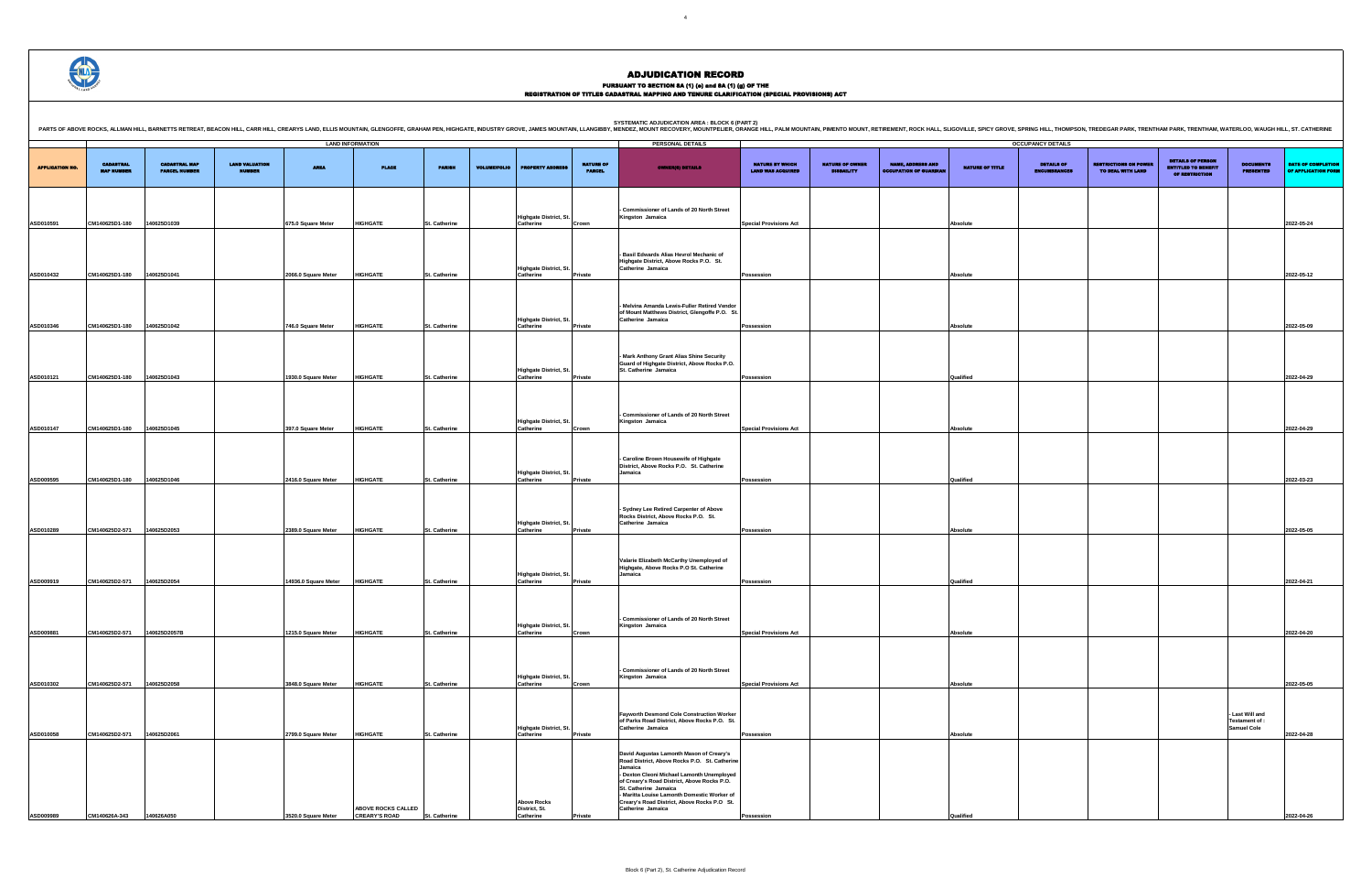## PURSUANT TO SECTION 8A (1) (e) and 8A (1) (g) OF THE<br>REGISTRATION OF TITLES CADASTRAL MAPPING AND TENURE CLARIFICATION (SPECIAL PROVISIONS) ACT

DETAILS OF ENCUMBRANCES RESTRICTIONS ON POWER TO DEAL WITH LAND DETAILS OF PERSON ENTITLED TO BENEFIT OF RESTRICTION DOCUMENTS PRESENTED DATE OF COMPLETION OF APPLICATION FORM **Special Provisions Act Absolute 2022-05-24 Possession Absolute 2022-05-12 Possession Absolute 2022-05-09 Possession Qualified 2022-04-29 Special Provisions Act Absolute 2022-04-29 Possession Qualified 2022-03-23 Possession Absolute 2022-05-05 Possession Qualified 2022-04-21 Special Provisions Act Absolute 2022-04-20 Special Provisions Act Absolute 2022-05-05 - Last Will and Testament of : Samuel Cole 2022-04-28 Possession Qualified 2022-04-26**

SYSTEMATIC ADJUDICATION AREA : BLOCK 6 (PART 2)<br>PARTS OF ABOVE ROCKS, ALLMAN HILL, BARNETTS RETREAT, BEACON HILL, CARR HILL, CARR HILL, CREARYS LAND, ELLIS MOUNTAIN, GLEIS MOUNTAIN, GLENGOFFE, GRAHAM PEN, HIGHGATE, INDUSTR

| <b>APPLICATION NO.</b> | <b>CADASTRAL</b><br><b>MAP NUMBER</b> | <b>CADASTRAL MAP</b><br><b>PARCEL NUMBER</b> | <b>LAND VALUATION</b><br><b>NUMBER</b> | <b>AREA</b>          | <b>LAND INFORMATION</b><br><b>PLACE</b>    | <b>PARISH</b> | <b>VOLUME/FOLIO</b> | <b>PROPERTY ADDRESS</b>                          | <b>NATURE OF</b><br><b>PARCEL</b> | PERSONAL DETAILS<br><b>OWNER(8) DETAILS</b>                                                                                                                                                                                                                                                                                                   | <b>NATURE BY WHICH</b><br><b>LAND WAS ACQUIRED</b> | <b>NATURE OF OWNER</b><br><b>DISBAILITY</b> | <b>NAME, ADDRESS AND</b><br><b>OCCUPATION OF GUARDIAN</b> | <b>NATURE OF TITLE</b> | <b>OCCUPANCY DETAILS</b><br><b>DETAILS OF</b><br>ENCUMBRANCE |
|------------------------|---------------------------------------|----------------------------------------------|----------------------------------------|----------------------|--------------------------------------------|---------------|---------------------|--------------------------------------------------|-----------------------------------|-----------------------------------------------------------------------------------------------------------------------------------------------------------------------------------------------------------------------------------------------------------------------------------------------------------------------------------------------|----------------------------------------------------|---------------------------------------------|-----------------------------------------------------------|------------------------|--------------------------------------------------------------|
|                        |                                       |                                              |                                        |                      |                                            |               |                     |                                                  |                                   |                                                                                                                                                                                                                                                                                                                                               |                                                    |                                             |                                                           |                        |                                                              |
| ASD010591              | CM140625D1-180                        | 140625D1039                                  |                                        | 675.0 Square Meter   | <b>HIGHGATE</b>                            | St. Catherine |                     | <b>Highgate District, St.</b><br>Catherine       | Crown                             | - Commissioner of Lands of 20 North Street<br>Kingston Jamaica                                                                                                                                                                                                                                                                                | <b>Special Provisions Act</b>                      |                                             |                                                           | Absolute               |                                                              |
|                        |                                       |                                              |                                        |                      |                                            |               |                     |                                                  |                                   |                                                                                                                                                                                                                                                                                                                                               |                                                    |                                             |                                                           |                        |                                                              |
| ASD010432              | CM140625D1-180                        | 140625D1041                                  |                                        | 2066.0 Square Meter  | <b>HIGHGATE</b>                            | St. Catherine |                     | Highgate District, St.<br>Catherine              | Private                           | - Basil Edwards Alias Hevrol Mechanic of<br>Highgate District, Above Rocks P.O. St.<br>Catherine Jamaica                                                                                                                                                                                                                                      | Possession                                         |                                             |                                                           | Absolute               |                                                              |
|                        |                                       |                                              |                                        |                      |                                            |               |                     |                                                  |                                   |                                                                                                                                                                                                                                                                                                                                               |                                                    |                                             |                                                           |                        |                                                              |
|                        |                                       |                                              |                                        |                      |                                            |               |                     | Highgate District, St.                           |                                   | - Melvina Amanda Lewis-Fuller Retired Vendor<br>of Mount Matthews District, Glengoffe P.O. St.<br>Catherine Jamaica                                                                                                                                                                                                                           |                                                    |                                             |                                                           |                        |                                                              |
| ASD010346              | CM140625D1-180                        | 140625D1042                                  |                                        | 746.0 Square Meter   | <b>HIGHGATE</b>                            | St. Catherine |                     | Catherine                                        | Private                           |                                                                                                                                                                                                                                                                                                                                               | Possession                                         |                                             |                                                           | Absolute               |                                                              |
| ASD010121              | CM140625D1-180                        | 140625D1043                                  |                                        | 1930.0 Square Meter  | <b>HIGHGATE</b>                            | St. Catherine |                     | Highgate District, St.<br>Catherine              | Private                           | - Mark Anthony Grant Alias Shine Security<br>Guard of Highgate District, Above Rocks P.O.<br>St. Catherine Jamaica                                                                                                                                                                                                                            | Possession                                         |                                             |                                                           | Qualified              |                                                              |
|                        |                                       |                                              |                                        |                      |                                            |               |                     |                                                  |                                   |                                                                                                                                                                                                                                                                                                                                               |                                                    |                                             |                                                           |                        |                                                              |
| ASD010147              | CM140625D1-180                        | 140625D1045                                  |                                        | 397.0 Square Meter   | <b>HIGHGATE</b>                            | St. Catherine |                     | Highgate District, St.<br>Catherine              | Crown                             | - Commissioner of Lands of 20 North Street<br>Kingston Jamaica                                                                                                                                                                                                                                                                                | <b>Special Provisions Act</b>                      |                                             |                                                           | Absolute               |                                                              |
| ASD009595              | CM140625D1-180                        | 140625D1046                                  |                                        | 2416.0 Square Meter  | <b>HIGHGATE</b>                            | St. Catherine |                     | Highgate District, St.<br>Catherine              | Private                           | - Caroline Brown Housewife of Highgate<br>District, Above Rocks P.O. St. Catherine<br>Jamaica                                                                                                                                                                                                                                                 | Possession                                         |                                             |                                                           | Qualified              |                                                              |
|                        |                                       |                                              |                                        |                      |                                            |               |                     |                                                  |                                   |                                                                                                                                                                                                                                                                                                                                               |                                                    |                                             |                                                           |                        |                                                              |
| ASD010289              | CM140625D2-571                        | 140625D2053                                  |                                        | 2389.0 Square Meter  | <b>HIGHGATE</b>                            | St. Catherine |                     | Highgate District, St.<br>Catherine              | Private                           | - Sydney Lee Retired Carpenter of Above<br>Rocks District, Above Rocks P.O. St.<br>Catherine Jamaica                                                                                                                                                                                                                                          | Possession                                         |                                             |                                                           | Absolute               |                                                              |
|                        |                                       |                                              |                                        |                      |                                            |               |                     | Highgate District, St.                           |                                   | Valarie Elizabeth McCarthy Unemployed of<br>Highgate, Above Rocks P.O St. Catherine<br>Jamaica                                                                                                                                                                                                                                                |                                                    |                                             |                                                           |                        |                                                              |
| ASD009919              | CM140625D2-571                        | 140625D2054                                  |                                        | 14936.0 Square Meter | <b>HIGHGATE</b>                            | St. Catherine |                     | Catherine                                        | Private                           |                                                                                                                                                                                                                                                                                                                                               | Possession                                         |                                             |                                                           | Qualified              |                                                              |
| ASD009881              | CM140625D2-571                        | 140625D2057B                                 |                                        | 1215.0 Square Meter  | <b>HIGHGATE</b>                            | St. Catherine |                     | Highgate District, St.<br>Catherine              | Crown                             | - Commissioner of Lands of 20 North Street<br>Kingston Jamaica                                                                                                                                                                                                                                                                                | <b>Special Provisions Act</b>                      |                                             |                                                           | <b>Absolute</b>        |                                                              |
|                        |                                       |                                              |                                        |                      |                                            |               |                     |                                                  |                                   |                                                                                                                                                                                                                                                                                                                                               |                                                    |                                             |                                                           |                        |                                                              |
| ASD010302              | CM140625D2-571                        | 140625D2058                                  |                                        | 3848.0 Square Meter  | <b>HIGHGATE</b>                            | St. Catherine |                     | Highgate District, St.<br>Catherine              | Crown                             | - Commissioner of Lands of 20 North Street<br>Kingston Jamaica                                                                                                                                                                                                                                                                                | <b>Special Provisions Act</b>                      |                                             |                                                           | Absolute               |                                                              |
|                        |                                       |                                              |                                        |                      |                                            |               |                     |                                                  |                                   |                                                                                                                                                                                                                                                                                                                                               |                                                    |                                             |                                                           |                        |                                                              |
| ASD010058              | CM140625D2-571                        | 140625D2061                                  |                                        | 2799.0 Square Meter  | <b>HIGHGATE</b>                            | St. Catherine |                     | Highgate District, St.<br>Catherine              | Private                           | <b>Fayworth Desmond Cole Construction Worker</b><br>of Parks Road District, Above Rocks P.O. St.<br>Catherine Jamaica                                                                                                                                                                                                                         | Possession                                         |                                             |                                                           | Absolute               |                                                              |
| ASD009989              | CM140626A-343                         | 140626A050                                   |                                        | 3520.0 Square Meter  | ABOVE ROCKS CALLED<br><b>CREARY'S ROAD</b> | St. Catherine |                     | <b>Above Rocks</b><br>District, St.<br>Catherine | Private                           | David Augustas Lamonth Mason of Creary's<br>Road District, Above Rocks P.O. St. Catherine<br>Jamaica<br>- Dexton Cleoni Michael Lamonth Unemployed<br>of Creary's Road District, Above Rocks P.O.<br>St. Catherine Jamaica<br>- Maritta Louise Lamonth Domestic Worker of<br>Creary's Road District, Above Rocks P.O St.<br>Catherine Jamaica | Possession                                         |                                             |                                                           | Qualified              |                                                              |
|                        |                                       |                                              |                                        |                      |                                            |               |                     |                                                  |                                   |                                                                                                                                                                                                                                                                                                                                               |                                                    |                                             |                                                           |                        |                                                              |

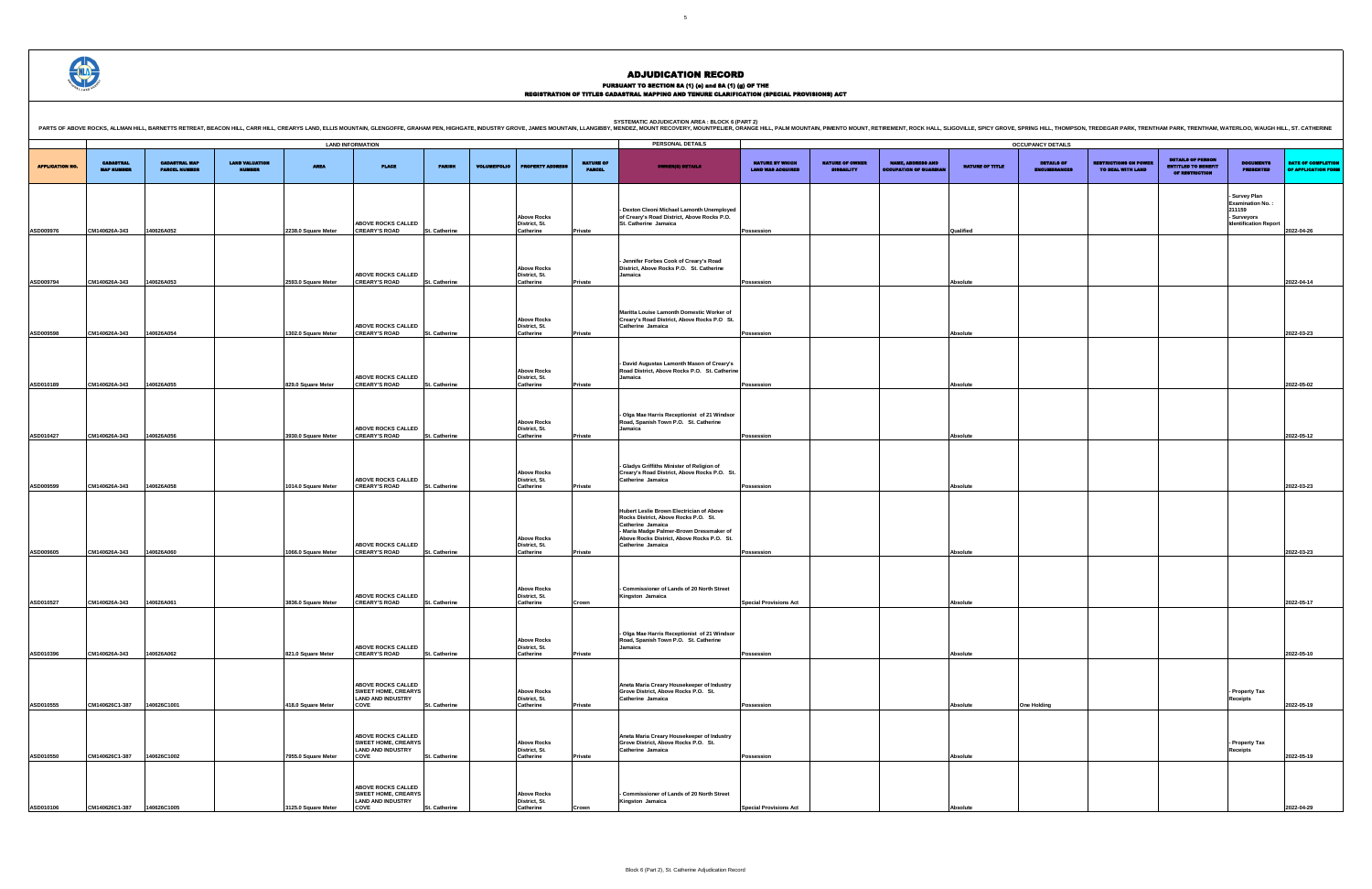## PURSUANT TO SECTION 8A (1) (e) and 8A (1) (g) OF THE<br>REGISTRATION OF TITLES CADASTRAL MAPPING AND TENURE CLARIFICATION (SPECIAL PROVISIONS) ACT

|                        |                                       |                                              |                                        |                                           | <b>LAND INFORMATION</b>                                                                     |                                |                     |                                                               |                                   | PERSONAL DETAILS                                                                                                                                                                                                     |                                                    |                                             |                                                           |                        | <b>OCCUPANCY DETAILS</b>         |
|------------------------|---------------------------------------|----------------------------------------------|----------------------------------------|-------------------------------------------|---------------------------------------------------------------------------------------------|--------------------------------|---------------------|---------------------------------------------------------------|-----------------------------------|----------------------------------------------------------------------------------------------------------------------------------------------------------------------------------------------------------------------|----------------------------------------------------|---------------------------------------------|-----------------------------------------------------------|------------------------|----------------------------------|
| <b>APPLICATION NO.</b> | <b>CADASTRAL</b><br><b>MAP NUMBER</b> | <b>CADASTRAL MAP</b><br><b>PARCEL NUMBER</b> | <b>LAND VALUATION</b><br><b>MUMBER</b> | <b>AREA</b>                               | <b>PLACE</b>                                                                                | <b>PARISH</b>                  | <b>VOLUME/FOLIO</b> | <b>PROPERTY ADDRE</b>                                         | <b>NATURE OF</b><br><b>PARCEL</b> | <b>OWNER(S) DETAILS</b>                                                                                                                                                                                              | <b>NATURE BY WHICH</b><br><b>LAND WAS ACQUIRED</b> | <b>NATURE OF OWNER</b><br><b>DISBAILITY</b> | <b>NAME, ADDRESS AND</b><br><b>OCCUPATION OF GUARDIAN</b> | <b>NATURE OF TITLE</b> | <b>DETAILS OF</b><br>ENCUMBRANCE |
| ASD009976              | CM140626A-343                         | 140626A052                                   |                                        | 2238.0 Square Meter                       | <b>ABOVE ROCKS CALLED</b><br><b>CREARY'S ROAD</b>                                           | St. Catherine                  |                     | <b>Above Rocks</b><br>District, St.<br>Catherine              | Private                           | - Dexton Cleoni Michael Lamonth Unemployed<br>of Creary's Road District, Above Rocks P.O.<br>St. Catherine Jamaica                                                                                                   | Possession                                         |                                             |                                                           | Qualified              |                                  |
| ASD009794              | CM140626A-343                         | 40626A053                                    |                                        | 2593.0 Square Meter                       | <b>ABOVE ROCKS CALLED</b><br><b>CREARY'S ROAD</b>                                           | St. Catherine                  |                     | <b>Above Rocks</b><br>District, St.<br>Catherine              | Private                           | - Jennifer Forbes Cook of Creary's Road<br>District, Above Rocks P.O. St. Catherine<br>Jamaica                                                                                                                       | Possession                                         |                                             |                                                           | Absolute               |                                  |
|                        |                                       |                                              |                                        |                                           | <b>ABOVE ROCKS CALLED</b>                                                                   |                                |                     | <b>Above Rocks</b><br>District, St.                           |                                   | Maritta Louise Lamonth Domestic Worker of<br>Creary's Road District, Above Rocks P.O St.<br>Catherine Jamaica                                                                                                        |                                                    |                                             |                                                           |                        |                                  |
| ASD009598<br>ASD010189 | CM140626A-343<br>CM140626A-343        | 140626A054<br>140626A055                     |                                        | 1302.0 Square Meter<br>829.0 Square Meter | <b>CREARY'S ROAD</b><br>ABOVE ROCKS CALLED<br><b>CREARY'S ROAD</b>                          | St. Catherine<br>St. Catherine |                     | Catherine<br><b>Above Rocks</b><br>District, St.<br>Catherine | Private<br>Private                | - David Augustas Lamonth Mason of Creary's<br>Road District, Above Rocks P.O. St. Catherine<br>Jamaica                                                                                                               | Possession<br>Possession                           |                                             |                                                           | Absolute<br>Absolute   |                                  |
| ASD010427              | CM140626A-343                         | 140626A056                                   |                                        | 3930.0 Square Meter                       | ABOVE ROCKS CALLED<br><b>CREARY'S ROAD</b>                                                  | St. Catherine                  |                     | <b>Above Rocks</b><br>District, St.<br>Catherine              | Private                           | - Olga Mae Harris Receptionist of 21 Windsor<br>Road, Spanish Town P.O. St. Catherine<br>Jamaica                                                                                                                     | Possession                                         |                                             |                                                           | Absolute               |                                  |
| ASD009599              | CM140626A-343                         | 140626A058                                   |                                        | 1014.0 Square Meter                       | ABOVE ROCKS CALLED<br><b>CREARY'S ROAD</b>                                                  | St. Catherine                  |                     | <b>Above Rocks</b><br>District, St.<br>Catherine              | Private                           | - Gladys Griffiths Minister of Religion of<br>Creary's Road District, Above Rocks P.O. St.<br>Catherine Jamaica                                                                                                      | Possession                                         |                                             |                                                           | Absolute               |                                  |
| ASD009605              | CM140626A-343                         | 140626A060                                   |                                        | 1066.0 Square Meter                       | ABOVE ROCKS CALLED<br><b>CREARY'S ROAD</b>                                                  | St. Catherine                  |                     | <b>Above Rocks</b><br>District, St.<br>Catherine              | Private                           | Hubert Leslie Brown Electrician of Above<br>Rocks District, Above Rocks P.O. St.<br>Catherine Jamaica<br>- Maria Madge Palmer-Brown Dressmaker of<br>Above Rocks District, Above Rocks P.O. St.<br>Catherine Jamaica | Possession                                         |                                             |                                                           | Absolute               |                                  |
| ASD010527              | CM140626A-343                         | 140626A061                                   |                                        | 3836.0 Square Meter                       | <b>ABOVE ROCKS CALLED</b><br><b>CREARY'S ROAD</b>                                           | St. Catherine                  |                     | <b>Above Rocks</b><br>District, St.<br>Catherine              | Crown                             | - Commissioner of Lands of 20 North Street<br>Kingston Jamaica                                                                                                                                                       | <b>Special Provisions Act</b>                      |                                             |                                                           | Absolute               |                                  |
| ASD010396              | CM140626A-343                         | 140626A062                                   |                                        | 821.0 Square Meter                        | ABOVE ROCKS CALLED<br><b>CREARY'S ROAD</b>                                                  | St. Catherine                  |                     | <b>Above Rocks</b><br>District, St.<br>Catherine              | Private                           | Olga Mae Harris Receptionist of 21 Windsor<br>Road, Spanish Town P.O. St. Catherine<br>Jamaica                                                                                                                       | Possession                                         |                                             |                                                           | Absolute               |                                  |
| ASD010555              | CM140626C1-387                        | 140626C1001                                  |                                        | 418.0 Square Meter                        | <b>ABOVE ROCKS CALLED</b><br><b>SWEET HOME, CREARYS</b><br><b>LAND AND INDUSTRY</b><br>COVE | St. Catherine                  |                     | <b>Above Rocks</b><br>District, St.<br>Catherine              | Private                           | Aneta Maria Creary Housekeeper of Industry<br>Grove District, Above Rocks P.O. St.<br>Catherine Jamaica                                                                                                              | Possession                                         |                                             |                                                           | Absolute               | <b>One Holding</b>               |
| ASD010550              | CM140626C1-387                        | 140626C1002                                  |                                        | 7955.0 Square Meter                       | <b>ABOVE ROCKS CALLED</b><br><b>SWEET HOME, CREARYS</b><br><b>LAND AND INDUSTRY</b><br>COVE | St. Catherine                  |                     | <b>Above Rocks</b><br>District, St.<br>Catherine              | Private                           | Aneta Maria Creary Housekeeper of Industry<br>Grove District, Above Rocks P.O. St.<br>Catherine Jamaica                                                                                                              | Possession                                         |                                             |                                                           | Absolute               |                                  |
| ASD010106              | CM140626C1-387                        | 140626C1005                                  |                                        | 3125.0 Square Meter                       | ABOVE ROCKS CALLED<br><b>SWEET HOME, CREARYS</b><br><b>LAND AND INDUSTRY</b><br>COVE        | St. Catherine                  |                     | <b>Above Rocks</b><br>District, St.<br>Catherine              | Crown                             | - Commissioner of Lands of 20 North Street<br>Kingston Jamaica                                                                                                                                                       | <b>Special Provisions Act</b>                      |                                             |                                                           | Absolute               |                                  |

DETAILS OF ENCUMBRANCES RESTRICTIONS ON POWER TO DEAL WITH LAND DETAILS OF PERSON ENTITLED TO BENEFIT OF RESTRICTION DOCUMENTS PRESENTED DATE OF COMPLETION e Appli **- Survey Plan Examination No. : 211159 - Surveyors Identification Report 2022-04-26 Possession Absolute 2022-04-14 Possession Absolute 2022-03-23 Possession Absolute 2022-05-02 Possession Absolute 2022-05-12 Possession Absolute 2022-03-23 Possession Absolute 2022-03-23 Special Provisions Act Absolute 2022-05-17 Possession Absolute 2022-05-10 One Holding - Property Tax Receipts 2022-05-19 - Property Tax Receipts 2022-05-19 Special Provisions Act Absolute 2022-04-29**

SYSTEMATIC ADJUDICATION AREA : BLOCK 6 (PART 2)<br>PARTS OF ABOVE ROCKS, ALLMAN HILL, BARNETTS RETREAT, BEACON HILL, CARR HILL, CREARYS LAND, ELLIS MOUNTAIN, GLE<br>PARTS OF ABOVE ROCKS, ALLMAN HILL, BARNETTS RETREAT, BEACON HIL

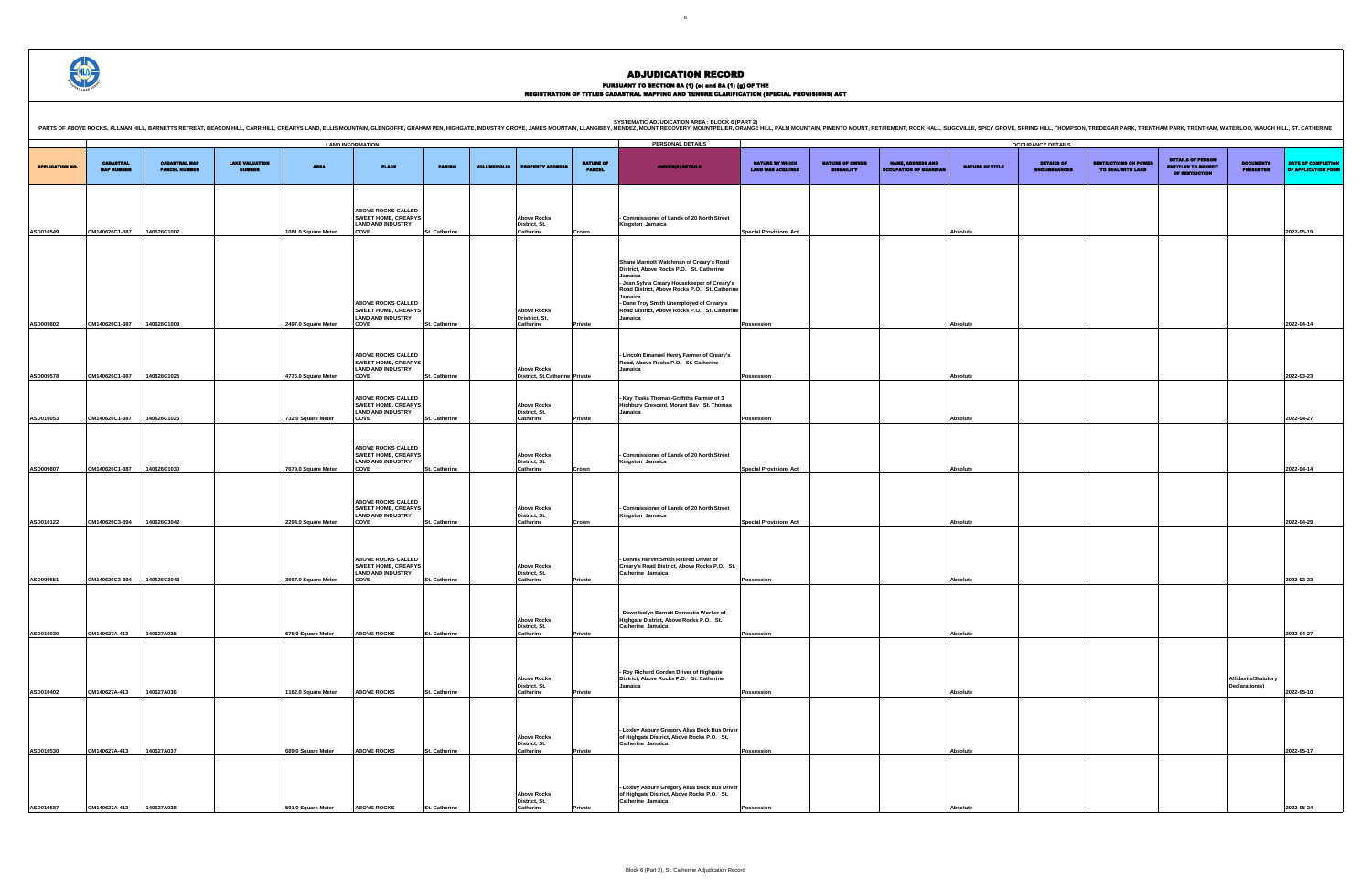## PURSUANT TO SECTION 8A (1) (e) and 8A (1) (g) OF THE<br>REGISTRATION OF TITLES CADASTRAL MAPPING AND TENURE CLARIFICATION (SPECIAL PROVISIONS) ACT

|                        |                                       |                                              |                                        |                     | <b>LAND INFORMATION</b>                                                                     |               |                     |                                                      |                                   | PERSONAL DETAILS                                                                                                                                                                                                                                                                                         |                                                    |                                             |                                                          |                 | <b>OCCUPANCY DETAILS</b>   |                                                   |                                                                                 |                                        |                                           |
|------------------------|---------------------------------------|----------------------------------------------|----------------------------------------|---------------------|---------------------------------------------------------------------------------------------|---------------|---------------------|------------------------------------------------------|-----------------------------------|----------------------------------------------------------------------------------------------------------------------------------------------------------------------------------------------------------------------------------------------------------------------------------------------------------|----------------------------------------------------|---------------------------------------------|----------------------------------------------------------|-----------------|----------------------------|---------------------------------------------------|---------------------------------------------------------------------------------|----------------------------------------|-------------------------------------------|
| <b>APPLICATION NO.</b> | <b>CADASTRAL</b><br><b>MAP NUMBER</b> | <b>CADASTRAL MAP</b><br><b>PARCEL NUMBER</b> | <b>LAND VALUATION</b><br><b>NUMBER</b> | <b>AREA</b>         | PLACE                                                                                       | <b>PARISH</b> | <b>VOLUME/FOLIO</b> | <b>ERTY ADDRES</b>                                   | <b>NATURE OF</b><br><b>PARCEL</b> | <b>OWNER(8) DETAILS</b>                                                                                                                                                                                                                                                                                  | <b>NATURE BY WHICH</b><br><b>LAND WAS ACQUIRED</b> | <b>NATURE OF OWNER</b><br><b>DISBAILITY</b> | <b>NAME, ADDRESS AND</b><br><b>OCCUPATION OF GUARDIA</b> | NATURE OF TITLE | DETAILS OF<br>ENCUMBRANCES | <b>RESTRICTIONS ON POWER</b><br>TO DEAL WITH LAND | <b>DETAILS OF PERSON</b><br><b>ENTITLED TO BENEFIT</b><br><b>OF RESTRICTION</b> | <b>DOCUMENTS</b><br><b>PRESENTED</b>   | DATE OF COMPLETION<br>OF APPLICATION FORM |
| ASD010549              | CM140626C1-387 140626C1007            |                                              |                                        | 1081.0 Square Meter | ABOVE ROCKS CALLED<br><b>SWEET HOME, CREARYS</b><br><b>LAND AND INDUSTRY</b><br>COVE        | St. Catherine |                     | <b>Above Rocks</b><br>District, St.<br>Catherine     | Crown                             | - Commissioner of Lands of 20 North Street<br>Kingston Jamaica                                                                                                                                                                                                                                           | <b>Special Provisions Act</b>                      |                                             |                                                          | <b>Absolute</b> |                            |                                                   |                                                                                 |                                        | 2022-05-19                                |
|                        |                                       |                                              |                                        |                     | ABOVE ROCKS CALLED<br><b>SWEET HOME, CREARYS</b>                                            |               |                     | <b>Above Rocks</b>                                   |                                   | Shane Marriott Watchman of Creary's Road<br>District, Above Rocks P.O. St. Catherine<br>Jamaica<br>- Jean Sylvia Creary Housekeeper of Creary's<br>Road District, Above Rocks P.O. St. Catherine<br>Jamaica<br>- Dane Troy Smith Unemployed of Creary's<br>Road District, Above Rocks P.O. St. Catherine |                                                    |                                             |                                                          |                 |                            |                                                   |                                                                                 |                                        |                                           |
| ASD009802              | CM140626C1-387                        | 140626C1009                                  |                                        | 2497.0 Square Meter | <b>LAND AND INDUSTRY</b><br>COVE                                                            | St. Catherine |                     | Dristrict, St.<br>Catherine                          | Private                           | Jamaica                                                                                                                                                                                                                                                                                                  | Possession                                         |                                             |                                                          | Absolute        |                            |                                                   |                                                                                 |                                        | 2022-04-14                                |
| <b>ASD009578</b>       | CM140626C1-387                        | 140626C1025                                  |                                        | 4776.0 Square Meter | <b>ABOVE ROCKS CALLED</b><br><b>SWEET HOME, CREARYS</b><br><b>LAND AND INDUSTRY</b><br>COVE | St. Catherine |                     | <b>Above Rocks</b><br>District. St.Catherine Private |                                   | - Lincoln Emanuel Henry Farmer of Creary's<br>Road, Above Rocks P.O. St. Catherine<br>Jamaica                                                                                                                                                                                                            | Possession                                         |                                             |                                                          | <b>Absolute</b> |                            |                                                   |                                                                                 |                                        | 2022-03-23                                |
| ASD010053              | CM140626C1-387                        | 140626C1026                                  |                                        | 732.0 Square Meter  | ABOVE ROCKS CALLED<br><b>SWEET HOME, CREARYS</b><br><b>LAND AND INDUSTRY</b><br>COVE        | St. Catherine |                     | <b>Above Rocks</b><br>District, St.<br>Catherine     | Private                           | - Kay Taska Thomas-Griffiths Farmer of 3<br>Highbury Crescent, Morant Bay St. Thomas<br>Jamaica                                                                                                                                                                                                          | Possession                                         |                                             |                                                          | Absolute        |                            |                                                   |                                                                                 |                                        | 2022-04-27                                |
| <b>ASD009807</b>       | CM140626C1-387 140626C1030            |                                              |                                        | 7679.0 Square Meter | <b>ABOVE ROCKS CALLED</b><br><b>SWEET HOME, CREARYS</b><br><b>LAND AND INDUSTRY</b><br>COVE | St. Catherine |                     | <b>Above Rocks</b><br>District, St.<br>Catherine     | Crown                             | - Commissioner of Lands of 20 North Street<br>Kingston Jamaica                                                                                                                                                                                                                                           | <b>Special Provisions Act</b>                      |                                             |                                                          | Absolute        |                            |                                                   |                                                                                 |                                        | 2022-04-14                                |
|                        |                                       |                                              |                                        |                     | ABOVE ROCKS CALLED<br><b>SWEET HOME, CREARYS</b><br><b>LAND AND INDUSTRY</b>                |               |                     | <b>Above Rocks</b><br>District, St.                  |                                   | - Commissioner of Lands of 20 North Street<br>Kingston Jamaica                                                                                                                                                                                                                                           |                                                    |                                             |                                                          |                 |                            |                                                   |                                                                                 |                                        |                                           |
| <b>ASD010122</b>       | CM140626C3-394                        | 140626C3042                                  |                                        | 2294.0 Square Meter | COVE<br>ABOVE ROCKS CALLED<br><b>SWEET HOME, CREARYS</b>                                    | St. Catherine |                     | Catherine<br><b>Above Rocks</b>                      | Crown                             | Dennis Hervin Smith Retired Driver of<br>Creary's Road District, Above Rocks P.O. St.                                                                                                                                                                                                                    | <b>Special Provisions Act</b>                      |                                             |                                                          | Absolute        |                            |                                                   |                                                                                 |                                        | 2022-04-29                                |
| ASD009551              | CM140626C3-394 140626C3043            |                                              |                                        | 3667.0 Square Meter | <b>LAND AND INDUSTRY</b><br>COVE                                                            | St. Catherine |                     | District, St.<br>Catherine                           | Private                           | Catherine Jamaica                                                                                                                                                                                                                                                                                        | Possession                                         |                                             |                                                          | Absolute        |                            |                                                   |                                                                                 |                                        | 2022-03-23                                |
|                        |                                       |                                              |                                        |                     |                                                                                             |               |                     | <b>Above Rocks</b><br>District, St.                  |                                   | - Dawn Isolyn Barnett Domestic Worker of<br>Highgate District, Above Rocks P.O. St.<br>Catherine Jamaica                                                                                                                                                                                                 |                                                    |                                             |                                                          |                 |                            |                                                   |                                                                                 |                                        |                                           |
| ASD010030              | CM140627A-413 140627A035              |                                              |                                        | 675.0 Square Meter  | <b>ABOVE ROCKS</b>                                                                          | St. Catherine |                     | Catherine                                            | <b>Private</b>                    | - Roy Richard Gordon Driver of Highgate                                                                                                                                                                                                                                                                  | Possession                                         |                                             |                                                          | Absolute        |                            |                                                   |                                                                                 |                                        | 2022-04-27                                |
| ASD010402              | CM140627A-413                         | 140627A036                                   |                                        | 1162.0 Square Meter | <b>ABOVE ROCKS</b>                                                                          | St. Catherine |                     | <b>Above Rocks</b><br>District, St.<br>Catherine     |                                   | District, Above Rocks P.O. St. Catherine<br>Jamaica                                                                                                                                                                                                                                                      | Possession                                         |                                             |                                                          | Absolute        |                            |                                                   |                                                                                 | Affidavits/Statutory<br>Declaration(s) | 2022-05-10                                |
|                        |                                       |                                              |                                        |                     |                                                                                             |               |                     | <b>Above Rocks</b><br>District, St.                  | Private                           | - Loxley Asburn Gregory Alias Buck Bus Driver<br>of Highgate District, Above Rocks P.O. St.<br>Catherine Jamaica                                                                                                                                                                                         |                                                    |                                             |                                                          |                 |                            |                                                   |                                                                                 |                                        |                                           |
| ASD010530              | CM140627A-413                         | 140627A037                                   |                                        | 689.0 Square Meter  | <b>ABOVE ROCKS</b>                                                                          | St. Catherine |                     | Catherine<br><b>Above Rocks</b>                      | Private                           | - Loxley Asburn Gregory Alias Buck Bus Driver<br>of Highgate District, Above Rocks P.O. St.                                                                                                                                                                                                              | Possession                                         |                                             |                                                          | Absolute        |                            |                                                   |                                                                                 |                                        | 2022-05-17                                |
| ASD010587              | CM140627A-413                         | 140627A038                                   |                                        | 591.0 Square Meter  | <b>ABOVE ROCKS</b>                                                                          | St. Catherine |                     | District, St.<br>Catherine                           | Private                           | Catherine Jamaica                                                                                                                                                                                                                                                                                        | Possession                                         |                                             |                                                          | Absolute        |                            |                                                   |                                                                                 |                                        | 2022-05-24                                |



### ADJUDICATION RECORD

SYSTEMATIC ADJUDICATION AREA : BLOCK 6 (PART 2)<br>PARTS OF ABOVE ROCKS, ALLMAN HILL, BARNETTS RETREAT, BEACON HILL, CARR HILL, CREARYS LAND, ELLIS MOUNTAIN, GLE<br>PARTS OF ABOVE ROCKS, ALLMAN HILL, BARNETTS RETREAT, BEACON HIL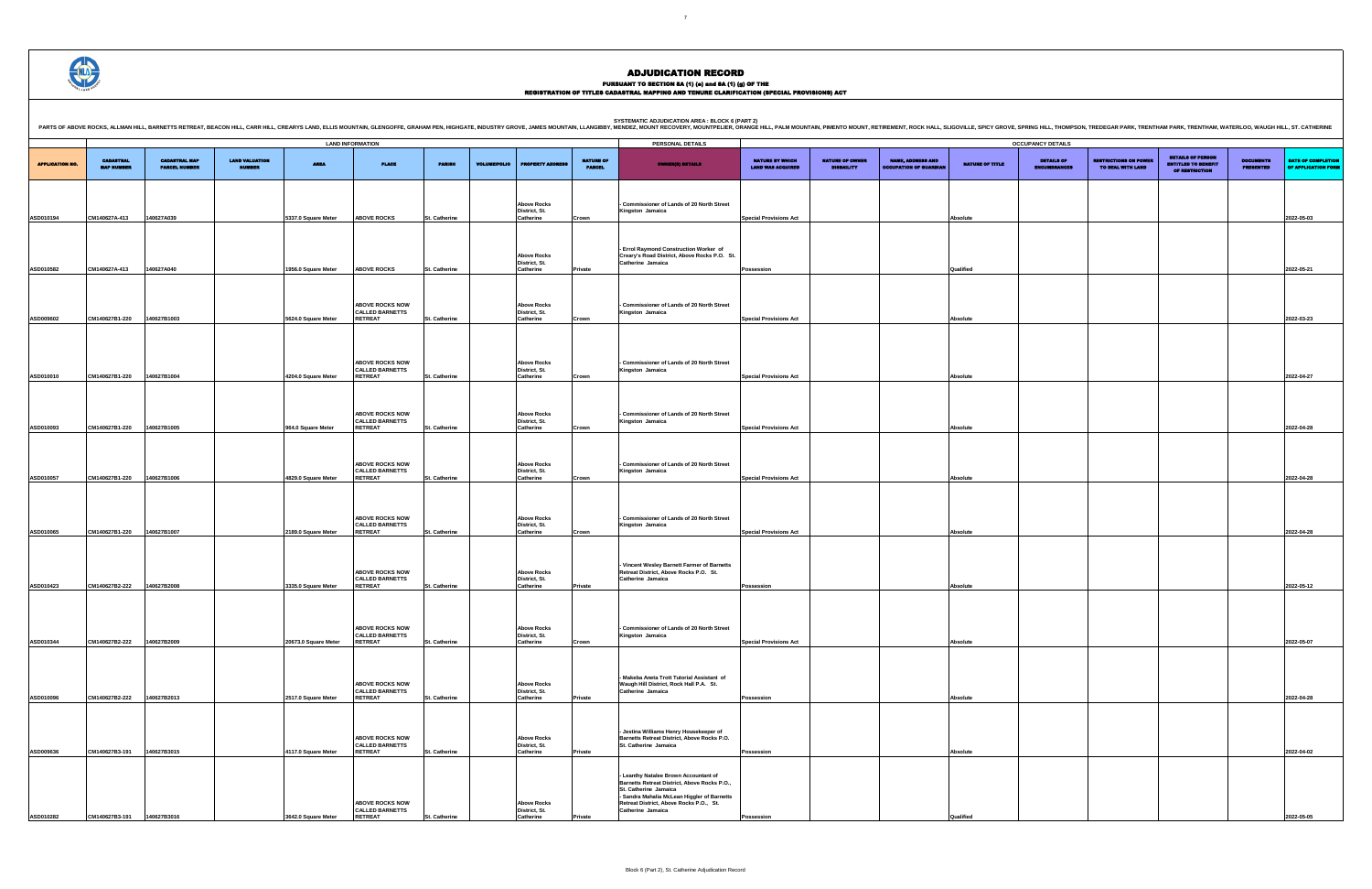PURSUANT TO SECTION 8A (1) (0) and 8A (1) (g) OF THE<br>REGISTRATION OF TITLES CADASTRAL MAPPING AND TENURE CLARIFICATION (SPECIAL PROVISIONS) ACT

|                        |                                       |                                              |                                        |                      |                                                                    |                                      |                                                  |                                   | <b>SYSTEMATIC ADJUDICATION AREA : BLOCK 6 (PART 2)</b><br>PARTS OF ABOVE ROCKS, ALLMAN HILL, BARNETTS RETREAT, BEACON HILL, CARR HILL, CARR HILL, CARR HILL, CARR HILL, CARR HILL, CARR HILL, CARRYS LAND, ELLIS MOUNTAIN, GLENGOFFE, GRAHAM PEN, HIGHGATE, INDUSTRY GROVE, JAMES MOUNTA |                                                    |                                             |                                                         |                        |                                                      |                                                   |                                                                                 |                                      |                                           |
|------------------------|---------------------------------------|----------------------------------------------|----------------------------------------|----------------------|--------------------------------------------------------------------|--------------------------------------|--------------------------------------------------|-----------------------------------|------------------------------------------------------------------------------------------------------------------------------------------------------------------------------------------------------------------------------------------------------------------------------------------|----------------------------------------------------|---------------------------------------------|---------------------------------------------------------|------------------------|------------------------------------------------------|---------------------------------------------------|---------------------------------------------------------------------------------|--------------------------------------|-------------------------------------------|
|                        |                                       |                                              |                                        |                      | <b>LAND INFORMATION</b>                                            |                                      |                                                  |                                   | PERSONAL DETAILS                                                                                                                                                                                                                                                                         |                                                    |                                             |                                                         |                        | <b>OCCUPANCY DETAILS</b>                             |                                                   |                                                                                 |                                      |                                           |
| <b>APPLICATION NO.</b> | <b>CADASTRAL</b><br><b>MAP NUMBER</b> | <b>CADASTRAL MAP</b><br><b>PARCEL NUMBER</b> | <b>LAND VALUATION</b><br><b>NUMBER</b> | <b>AREA</b>          | <b>PLACE</b>                                                       | <b>PARISH</b><br><b>VOLUME/FOLIO</b> | <b>FRETY ADDRE</b>                               | <b>NATURE OF</b><br><b>PARCEL</b> | <b>OWNER(S) DETAILS</b>                                                                                                                                                                                                                                                                  | <b>NATURE BY WHICH</b><br><b>LAND WAS ACQUIRED</b> | <b>NATURE OF OWNER</b><br><b>DISBAILITY</b> | <b>NAME, ADDRESS AND</b><br><b>CCUPATION OF GUARDIA</b> | <b>NATURE OF TITLE</b> | <b>DETAILS OF</b><br><b>MRDAMCES</b><br><b>ENGIN</b> | <b>RESTRICTIONS ON POWER</b><br>TO DEAL WITH LAND | <b>DETAILS OF PERSON</b><br><b>ENTITLED TO BENEFIT</b><br><b>OF RESTRICTION</b> | <b>DOCUMENTS</b><br><b>PRESENTED</b> | DATE OF COMPLETION<br>OF APPLICATION FORM |
|                        |                                       |                                              |                                        |                      |                                                                    |                                      | <b>Above Rocks</b><br>District, St.              |                                   | - Commissioner of Lands of 20 North Street<br>Kingston Jamaica                                                                                                                                                                                                                           |                                                    |                                             |                                                         |                        |                                                      |                                                   |                                                                                 |                                      |                                           |
| ASD010194              | CM140627A-413                         | 140627A039                                   |                                        | 5337.0 Square Meter  | <b>ABOVE ROCKS</b>                                                 | St. Catherine                        | Catherine                                        | Crown                             |                                                                                                                                                                                                                                                                                          | <b>Special Provisions Act</b>                      |                                             |                                                         | Absolute               |                                                      |                                                   |                                                                                 |                                      | 2022-05-03                                |
|                        |                                       |                                              |                                        |                      |                                                                    |                                      | <b>Above Rocks</b>                               |                                   | - Errol Raymond Construction Worker of<br>Creary's Road District, Above Rocks P.O. St.                                                                                                                                                                                                   |                                                    |                                             |                                                         |                        |                                                      |                                                   |                                                                                 |                                      |                                           |
| ASD010582              | CM140627A-413                         | 140627A040                                   |                                        | 1956.0 Square Meter  | <b>ABOVE ROCKS</b>                                                 | St. Catherine                        | District, St.<br>Catherine                       | Private                           | Catherine Jamaica                                                                                                                                                                                                                                                                        | Possession                                         |                                             |                                                         | Qualified              |                                                      |                                                   |                                                                                 |                                      | 2022-05-21                                |
|                        |                                       |                                              |                                        |                      | <b>ABOVE ROCKS NOW</b><br><b>CALLED BARNETTS</b>                   |                                      | <b>Above Rocks</b><br>District, St.              |                                   | Commissioner of Lands of 20 North Street<br>Kingston Jamaica                                                                                                                                                                                                                             |                                                    |                                             |                                                         |                        |                                                      |                                                   |                                                                                 |                                      |                                           |
| ASD009602              | CM140627B1-220                        | 140627B1003                                  |                                        | 5624.0 Square Meter  | <b>RETREAT</b>                                                     | St. Catherine                        | Catherine                                        | Crown                             |                                                                                                                                                                                                                                                                                          | <b>Special Provisions Act</b>                      |                                             |                                                         | <b>Absolute</b>        |                                                      |                                                   |                                                                                 |                                      | 2022-03-23                                |
|                        |                                       |                                              |                                        |                      | <b>ABOVE ROCKS NOW</b><br><b>CALLED BARNETTS</b>                   |                                      | <b>Above Rocks</b><br>District, St.              |                                   | Commissioner of Lands of 20 North Street<br>Kingston Jamaica                                                                                                                                                                                                                             |                                                    |                                             |                                                         |                        |                                                      |                                                   |                                                                                 |                                      |                                           |
| ASD010010              | CM140627B1-220                        | 140627B1004                                  |                                        | 4204.0 Square Meter  | <b>RETREAT</b>                                                     | St. Catherine                        | Catherine                                        | Crown                             |                                                                                                                                                                                                                                                                                          | <b>Special Provisions Act</b>                      |                                             |                                                         | <b>Absolute</b>        |                                                      |                                                   |                                                                                 |                                      | 2022-04-27                                |
|                        |                                       |                                              |                                        |                      | <b>ABOVE ROCKS NOW</b><br><b>CALLED BARNETTS</b>                   |                                      | <b>Above Rocks</b><br>District, St.              |                                   | - Commissioner of Lands of 20 North Street<br>Kingston Jamaica                                                                                                                                                                                                                           |                                                    |                                             |                                                         |                        |                                                      |                                                   |                                                                                 |                                      |                                           |
| ASD010093              | CM140627B1-220                        | 140627B1005                                  |                                        | 964.0 Square Meter   | <b>RETREAT</b>                                                     | St. Catherine                        | Catherine                                        | Crown                             |                                                                                                                                                                                                                                                                                          | <b>Special Provisions Act</b>                      |                                             |                                                         | <b>Absolute</b>        |                                                      |                                                   |                                                                                 |                                      | 2022-04-28                                |
| ASD010057              | CM140627B1-220                        | 140627B1006                                  |                                        | 4829.0 Square Meter  | <b>ABOVE ROCKS NOW</b><br><b>CALLED BARNETTS</b><br><b>RETREAT</b> | St. Catherine                        | <b>Above Rocks</b><br>District, St.<br>Catherine | Crown                             | - Commissioner of Lands of 20 North Street<br>Kingston Jamaica                                                                                                                                                                                                                           | <b>Special Provisions Act</b>                      |                                             |                                                         | <b>Absolute</b>        |                                                      |                                                   |                                                                                 |                                      | 2022-04-28                                |
|                        |                                       |                                              |                                        |                      |                                                                    |                                      |                                                  |                                   |                                                                                                                                                                                                                                                                                          |                                                    |                                             |                                                         |                        |                                                      |                                                   |                                                                                 |                                      |                                           |
| ASD010065              | CM140627B1-220                        | 140627B1007                                  |                                        | 2189.0 Square Meter  | <b>ABOVE ROCKS NOW</b><br><b>CALLED BARNETTS</b><br><b>RETREAT</b> | St. Catherine                        | <b>Above Rocks</b><br>District, St.<br>Catherine | Crown                             | Commissioner of Lands of 20 North Street<br>Kingston Jamaica                                                                                                                                                                                                                             | <b>Special Provisions Act</b>                      |                                             |                                                         | <b>Absolute</b>        |                                                      |                                                   |                                                                                 |                                      | 2022-04-28                                |
|                        |                                       |                                              |                                        |                      |                                                                    |                                      |                                                  |                                   |                                                                                                                                                                                                                                                                                          |                                                    |                                             |                                                         |                        |                                                      |                                                   |                                                                                 |                                      |                                           |
| ASD010423              | CM140627B2-222 140627B2008            |                                              |                                        | 3335.0 Square Meter  | <b>ABOVE ROCKS NOW</b><br><b>CALLED BARNETTS</b><br><b>RETREAT</b> | St. Catherine                        | <b>Above Rocks</b><br>District, St.<br>Catherine | Private                           | Vincent Wesley Barnett Farmer of Barnetts<br>Retreat District, Above Rocks P.O. St.<br>Catherine Jamaica                                                                                                                                                                                 | Possession                                         |                                             |                                                         | <b>Absolute</b>        |                                                      |                                                   |                                                                                 |                                      | 2022-05-12                                |
|                        |                                       |                                              |                                        |                      |                                                                    |                                      |                                                  |                                   |                                                                                                                                                                                                                                                                                          |                                                    |                                             |                                                         |                        |                                                      |                                                   |                                                                                 |                                      |                                           |
| ASD010344              | CM140627B2-222                        | 140627B2009                                  |                                        | 20673.0 Square Meter | <b>ABOVE ROCKS NOW</b><br>CALLED BARNETTS<br><b>RETREAT</b>        | St. Catherine                        | <b>Above Rocks</b><br>District, St.<br>Catherine | Crown                             | <b>Commissioner of Lands of 20 North Street</b><br>Kingston Jamaica                                                                                                                                                                                                                      | <b>Special Provisions Act</b>                      |                                             |                                                         | <b>Absolute</b>        |                                                      |                                                   |                                                                                 |                                      | 2022-05-07                                |
|                        |                                       |                                              |                                        |                      | <b>ABOVE ROCKS NOW</b>                                             |                                      | <b>Above Rocks</b>                               |                                   | - Makeba Aneta Trott Tutorial Assistant of<br>Waugh Hill District, Rock Hall P.A. St.                                                                                                                                                                                                    |                                                    |                                             |                                                         |                        |                                                      |                                                   |                                                                                 |                                      |                                           |
| ASD010096              | CM140627B2-222 140627B2013            |                                              |                                        | 2517.0 Square Meter  | <b>CALLED BARNETTS</b><br><b>RETREAT</b>                           | St. Catherine                        | District, St.<br>Catherine                       | Private                           | Catherine Jamaica                                                                                                                                                                                                                                                                        | Possession                                         |                                             |                                                         | Absolute               |                                                      |                                                   |                                                                                 |                                      | 2022-04-28                                |
|                        |                                       |                                              |                                        |                      | <b>ABOVE ROCKS NOW</b><br><b>CALLED BARNETTS</b>                   |                                      | <b>Above Rocks</b><br>District, St.              |                                   | Jestina Williams Henry Housekeeper of<br>Barnetts Retreat District, Above Rocks P.O.<br>St. Catherine Jamaica                                                                                                                                                                            |                                                    |                                             |                                                         |                        |                                                      |                                                   |                                                                                 |                                      |                                           |
| ASD009636              | CM140627B3-191                        | 140627B3015                                  |                                        | 4117.0 Square Meter  | <b>RETREAT</b>                                                     | St. Catherine                        | Catherine                                        | Private                           |                                                                                                                                                                                                                                                                                          | Possession                                         |                                             |                                                         | <b>Absolute</b>        |                                                      |                                                   |                                                                                 |                                      | 2022-04-02                                |
|                        |                                       |                                              |                                        |                      | <b>ABOVE ROCKS NOW</b><br><b>CALLED BARNETTS</b>                   |                                      | <b>Above Rocks</b><br>District, St.              |                                   | - Leanthy Natalee Brown Accountant of<br>Barnetts Retreat District, Above Rocks P.O.,<br>St. Catherine Jamaica<br>- Sandra Mahalia McLean Higgler of Barnetts<br>Retreat District, Above Rocks P.O., St.<br>Catherine Jamaica                                                            |                                                    |                                             |                                                         |                        |                                                      |                                                   |                                                                                 |                                      |                                           |
| ASD010282              | CM140627B3-191 140627B3016            |                                              |                                        | 3642.0 Square Meter  | <b>RETREAT</b>                                                     | St. Catherine                        | Catherine                                        | Private                           |                                                                                                                                                                                                                                                                                          | Possession                                         |                                             |                                                         | Qualified              |                                                      |                                                   |                                                                                 |                                      | 2022-05-05                                |